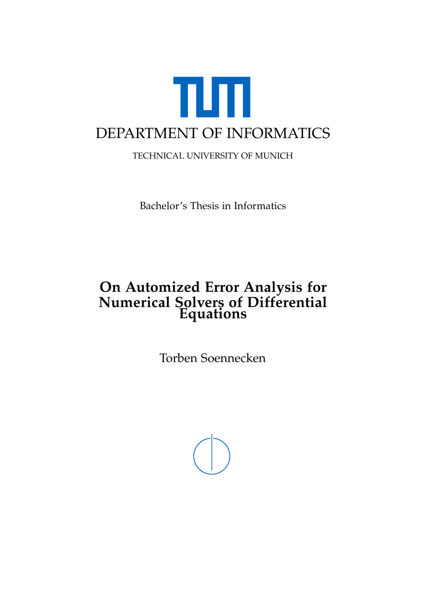<span id="page-0-0"></span>

TECHNICAL UNIVERSITY OF MUNICH

Bachelor's Thesis in Informatics

### **On Automized Error Analysis for Numerical Solvers of Differential Equations**

Torben Soennecken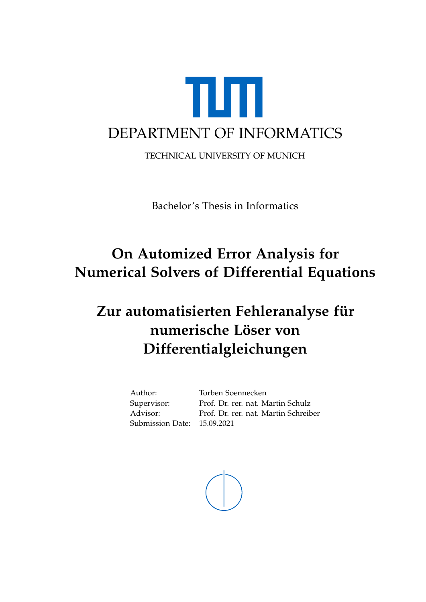

TECHNICAL UNIVERSITY OF MUNICH

Bachelor's Thesis in Informatics

# **On Automized Error Analysis for Numerical Solvers of Differential Equations**

# **Zur automatisierten Fehleranalyse für numerische Löser von Differentialgleichungen**

Author: Torben Soennecken Submission Date: 15.09.2021

Supervisor: Prof. Dr. rer. nat. Martin Schulz Advisor: Prof. Dr. rer. nat. Martin Schreiber

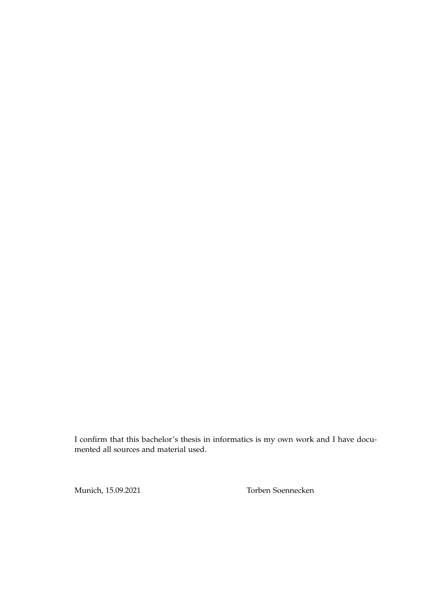I confirm that this bachelor's thesis in informatics is my own work and I have documented all sources and material used.

Munich, 15.09.2021 Torben Soennecken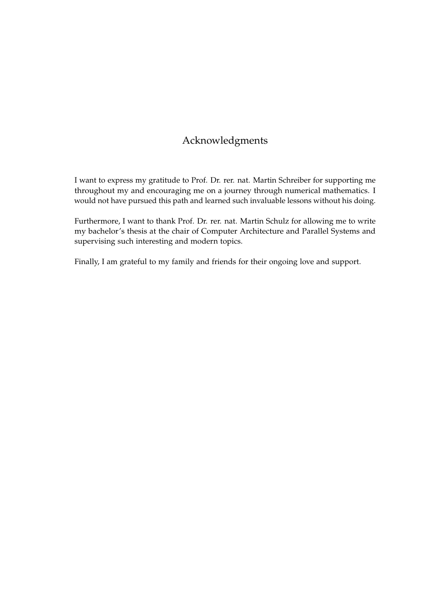### Acknowledgments

I want to express my gratitude to Prof. Dr. rer. nat. Martin Schreiber for supporting me throughout my and encouraging me on a journey through numerical mathematics. I would not have pursued this path and learned such invaluable lessons without his doing.

Furthermore, I want to thank Prof. Dr. rer. nat. Martin Schulz for allowing me to write my bachelor's thesis at the chair of Computer Architecture and Parallel Systems and supervising such interesting and modern topics.

Finally, I am grateful to my family and friends for their ongoing love and support.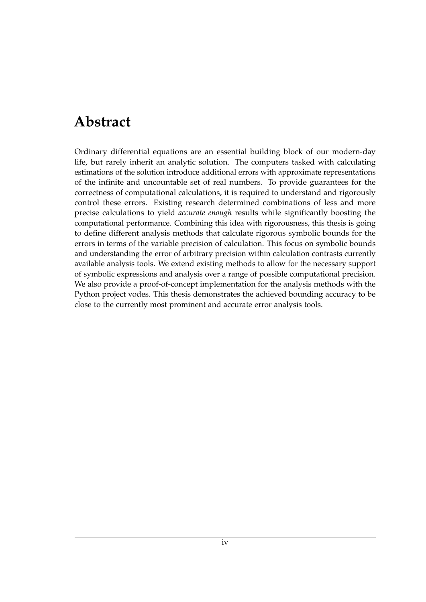# <span id="page-4-0"></span>**Abstract**

Ordinary differential equations are an essential building block of our modern-day life, but rarely inherit an analytic solution. The computers tasked with calculating estimations of the solution introduce additional errors with approximate representations of the infinite and uncountable set of real numbers. To provide guarantees for the correctness of computational calculations, it is required to understand and rigorously control these errors. Existing research determined combinations of less and more precise calculations to yield *accurate enough* results while significantly boosting the computational performance. Combining this idea with rigorousness, this thesis is going to define different analysis methods that calculate rigorous symbolic bounds for the errors in terms of the variable precision of calculation. This focus on symbolic bounds and understanding the error of arbitrary precision within calculation contrasts currently available analysis tools. We extend existing methods to allow for the necessary support of symbolic expressions and analysis over a range of possible computational precision. We also provide a proof-of-concept implementation for the analysis methods with the Python project vodes. This thesis demonstrates the achieved bounding accuracy to be close to the currently most prominent and accurate error analysis tools.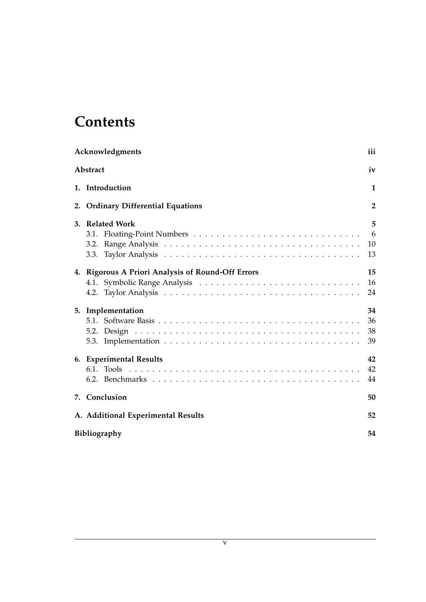# **Contents**

| Acknowledgments                                           | iii                  |
|-----------------------------------------------------------|----------------------|
| Abstract                                                  | iv                   |
| 1. Introduction                                           | 1                    |
| 2. Ordinary Differential Equations                        | $\overline{2}$       |
| 3. Related Work<br>3.2.                                   | 5<br>6<br>10<br>13   |
| 4. Rigorous A Priori Analysis of Round-Off Errors<br>4.2. | 15<br>16<br>24       |
| 5. Implementation<br>5.3.                                 | 34<br>36<br>38<br>39 |
| 6. Experimental Results                                   | 42<br>42<br>44       |
| 7. Conclusion                                             | 50                   |
| A. Additional Experimental Results                        | 52                   |
| Bibliography                                              | 54                   |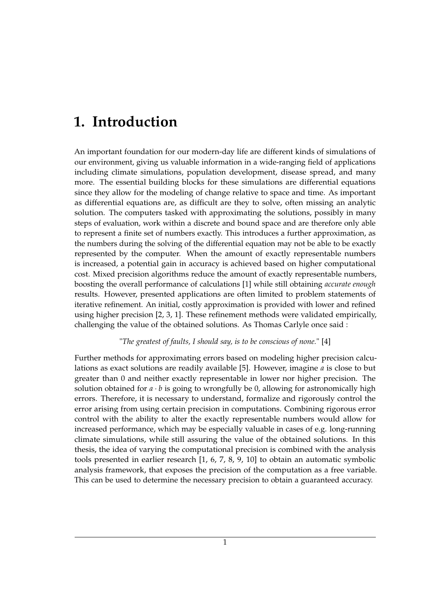## <span id="page-6-0"></span>**1. Introduction**

An important foundation for our modern-day life are different kinds of simulations of our environment, giving us valuable information in a wide-ranging field of applications including climate simulations, population development, disease spread, and many more. The essential building blocks for these simulations are differential equations since they allow for the modeling of change relative to space and time. As important as differential equations are, as difficult are they to solve, often missing an analytic solution. The computers tasked with approximating the solutions, possibly in many steps of evaluation, work within a discrete and bound space and are therefore only able to represent a finite set of numbers exactly. This introduces a further approximation, as the numbers during the solving of the differential equation may not be able to be exactly represented by the computer. When the amount of exactly representable numbers is increased, a potential gain in accuracy is achieved based on higher computational cost. Mixed precision algorithms reduce the amount of exactly representable numbers, boosting the overall performance of calculations [\[1\]](#page-59-1) while still obtaining *accurate enough* results. However, presented applications are often limited to problem statements of iterative refinement. An initial, costly approximation is provided with lower and refined using higher precision [\[2,](#page-59-2) [3,](#page-59-3) [1\]](#page-59-1). These refinement methods were validated empirically, challenging the value of the obtained solutions. As Thomas Carlyle once said :

#### "*The greatest of faults, I should say, is to be conscious of none.*" [\[4\]](#page-59-4)

Further methods for approximating errors based on modeling higher precision calculations as exact solutions are readily available [\[5\]](#page-59-5). However, imagine *a* is close to but greater than 0 and neither exactly representable in lower nor higher precision. The solution obtained for  $a \cdot b$  is going to wrongfully be 0, allowing for astronomically high errors. Therefore, it is necessary to understand, formalize and rigorously control the error arising from using certain precision in computations. Combining rigorous error control with the ability to alter the exactly representable numbers would allow for increased performance, which may be especially valuable in cases of e.g. long-running climate simulations, while still assuring the value of the obtained solutions. In this thesis, the idea of varying the computational precision is combined with the analysis tools presented in earlier research [\[1,](#page-59-1) [6,](#page-59-6) [7,](#page-59-7) [8,](#page-59-8) [9,](#page-59-9) [10\]](#page-60-0) to obtain an automatic symbolic analysis framework, that exposes the precision of the computation as a free variable. This can be used to determine the necessary precision to obtain a guaranteed accuracy.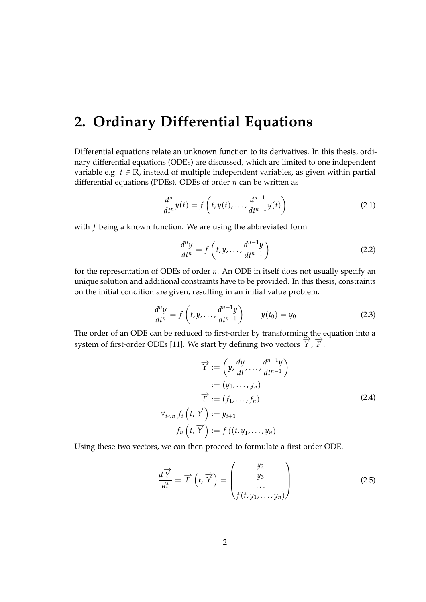## <span id="page-7-0"></span>**2. Ordinary Differential Equations**

Differential equations relate an unknown function to its derivatives. In this thesis, ordinary differential equations (ODEs) are discussed, which are limited to one independent variable e.g.  $t \in \mathbb{R}$ , instead of multiple independent variables, as given within partial differential equations (PDEs). ODEs of order *n* can be written as

$$
\frac{d^n}{dt^n}y(t) = f\left(t, y(t), \dots, \frac{d^{n-1}}{dt^{n-1}}y(t)\right)
$$
\n(2.1)

with *f* being a known function. We are using the abbreviated form

$$
\frac{d^n y}{dt^n} = f\left(t, y, \dots, \frac{d^{n-1} y}{dt^{n-1}}\right)
$$
\n(2.2)

for the representation of ODEs of order *n*. An ODE in itself does not usually specify an unique solution and additional constraints have to be provided. In this thesis, constraints on the initial condition are given, resulting in an initial value problem.

$$
\frac{d^n y}{dt^n} = f\left(t, y, \dots, \frac{d^{n-1} y}{dt^{n-1}}\right) \qquad y(t_0) = y_0 \tag{2.3}
$$

The order of an ODE can be reduced to first-order by transforming the equation into a system of first-order ODEs [\[11\]](#page-60-1). We start by defining two vectors  $\overrightarrow{Y}$ ,  $\overrightarrow{F}$ .

$$
\overrightarrow{Y} := \left(y, \frac{dy}{dt}, \dots, \frac{d^{n-1}y}{dt^{n-1}}\right)
$$

$$
:= (y_1, \dots, y_n)
$$

$$
\overrightarrow{F} := (f_1, \dots, f_n)
$$

$$
\forall_{i < n} f_i\left(t, \overrightarrow{Y}\right) := y_{i+1}
$$

$$
f_n\left(t, \overrightarrow{Y}\right) := f\left((t, y_1, \dots, y_n)\right)
$$
\n(2.4)

Using these two vectors, we can then proceed to formulate a first-order ODE.

$$
\frac{d\overrightarrow{Y}}{dt} = \overrightarrow{F}\left(t, \overrightarrow{Y}\right) = \begin{pmatrix} y_2 \\ y_3 \\ \dots \\ f(t, y_1, \dots, y_n) \end{pmatrix}
$$
(2.5)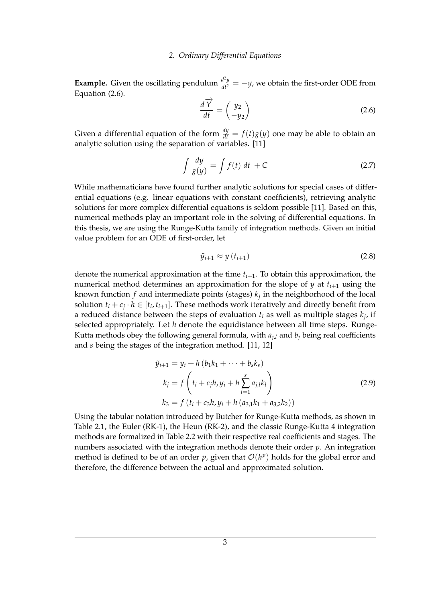<span id="page-8-0"></span>**Example.** Given the oscillating pendulum  $\frac{d^2y}{dt^2} = -y$ , we obtain the first-order ODE from Equation [\(2.6\)](#page-8-0).

$$
\frac{d\overrightarrow{Y}}{dt} = \begin{pmatrix} y_2 \\ -y_2 \end{pmatrix}
$$
 (2.6)

Given a differential equation of the form  $\frac{dy}{dt} = f(t)g(y)$  one may be able to obtain an analytic solution using the separation of variables. [\[11\]](#page-60-1)

$$
\int \frac{dy}{g(y)} = \int f(t) \, dt + C \tag{2.7}
$$

While mathematicians have found further analytic solutions for special cases of differential equations (e.g. linear equations with constant coefficients), retrieving analytic solutions for more complex differential equations is seldom possible [\[11\]](#page-60-1). Based on this, numerical methods play an important role in the solving of differential equations. In this thesis, we are using the Runge-Kutta family of integration methods. Given an initial value problem for an ODE of first-order, let

$$
\tilde{y}_{i+1} \approx y(t_{i+1}) \tag{2.8}
$$

denote the numerical approximation at the time *ti*+1. To obtain this approximation, the numerical method determines an approximation for the slope of *y* at  $t_{i+1}$  using the known function *f* and intermediate points (stages) *k<sup>j</sup>* in the neighborhood of the local solution  $t_i + c_j \cdot h \in [t_i, t_{i+1}]$ . These methods work iteratively and directly benefit from a reduced distance between the steps of evaluation *t<sup>i</sup>* as well as multiple stages *k<sup>j</sup>* , if selected appropriately. Let *h* denote the equidistance between all time steps. Runge-Kutta methods obey the following general formula, with  $a_{j,l}$  and  $b_j$  being real coefficients and *s* being the stages of the integration method. [\[11,](#page-60-1) [12\]](#page-60-2)

$$
\tilde{y}_{i+1} = y_i + h (b_1 k_1 + \dots + b_s k_s)
$$
\n
$$
k_j = f \left( t_i + c_j h, y_i + h \sum_{l=1}^s a_{j,l} k_l \right)
$$
\n
$$
k_3 = f (t_i + c_3 h, y_i + h (a_{3,1} k_1 + a_{3,2} k_2))
$$
\n(2.9)

Using the tabular notation introduced by Butcher for Runge-Kutta methods, as shown in Table [2.1,](#page-9-0) the Euler (RK-1), the Heun (RK-2), and the classic Runge-Kutta 4 integration methods are formalized in Table [2.2](#page-9-1) with their respective real coefficients and stages. The numbers associated with the integration methods denote their order *p*. An integration method is defined to be of an order  $p$ , given that  $\mathcal{O}(h^p)$  holds for the global error and therefore, the difference between the actual and approximated solution.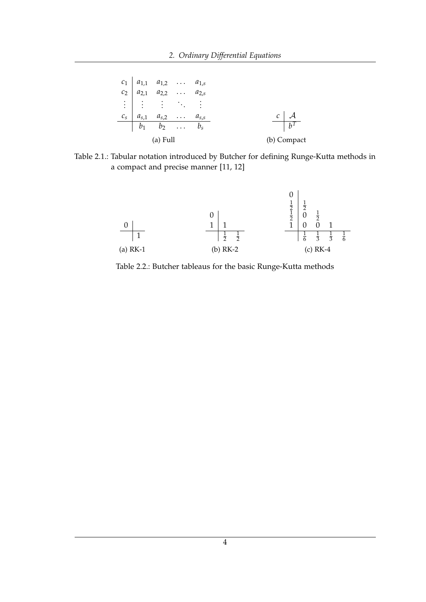<span id="page-9-0"></span>

|          |  | $c_1$ $a_{1,1}$ $a_{1,2}$ $a_{1,s}$<br>$c_2$ $a_{2,1}$ $a_{2,2}$ $a_{2,s}$<br>$\vdots$ $\vdots$ : $\vdots$ |  |  |             |
|----------|--|------------------------------------------------------------------------------------------------------------|--|--|-------------|
|          |  | $c_s$ $a_{s,1}$ $a_{s,2}$ $a_{s,s}$                                                                        |  |  |             |
|          |  | $\begin{array}{ c c } \hline b_1 & b_2 & \ldots & b_s \hline \end{array}$                                  |  |  | $h^T$       |
| (a) Full |  |                                                                                                            |  |  | (b) Compact |

<span id="page-9-1"></span>Table 2.1.: Tabular notation introduced by Butcher for defining Runge-Kutta methods in a compact and precise manner [\[11,](#page-60-1) [12\]](#page-60-2)



Table 2.2.: Butcher tableaus for the basic Runge-Kutta methods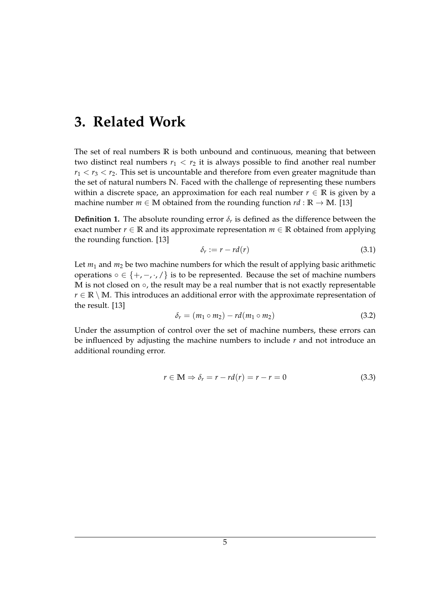### <span id="page-10-0"></span>**3. Related Work**

The set of real numbers **R** is both unbound and continuous, meaning that between two distinct real numbers  $r_1 < r_2$  it is always possible to find another real number  $r_1 < r_3 < r_2$ . This set is uncountable and therefore from even greater magnitude than the set of natural numbers **N**. Faced with the challenge of representing these numbers within a discrete space, an approximation for each real number  $r \in \mathbb{R}$  is given by a machine number  $m \in M$  obtained from the rounding function  $rd : \mathbb{R} \to M$ . [\[13\]](#page-60-3)

**Definition 1.** The absolute rounding error  $\delta_r$  is defined as the difference between the exact number  $r \in \mathbb{R}$  and its approximate representation  $m \in \mathbb{R}$  obtained from applying the rounding function. [\[13\]](#page-60-3)

$$
\delta_r := r - r d(r) \tag{3.1}
$$

Let  $m_1$  and  $m_2$  be two machine numbers for which the result of applying basic arithmetic operations  $\circ \in \{+, -, \cdot, / \}$  is to be represented. Because the set of machine numbers M is not closed on ○, the result may be a real number that is not exactly representable  $r \in \mathbb{R} \setminus \mathbb{M}$ . This introduces an additional error with the approximate representation of the result. [\[13\]](#page-60-3)

$$
\delta_r = (m_1 \circ m_2) - rd(m_1 \circ m_2) \tag{3.2}
$$

Under the assumption of control over the set of machine numbers, these errors can be influenced by adjusting the machine numbers to include *r* and not introduce an additional rounding error.

$$
r \in \mathbb{M} \Rightarrow \delta_r = r - rd(r) = r - r = 0 \tag{3.3}
$$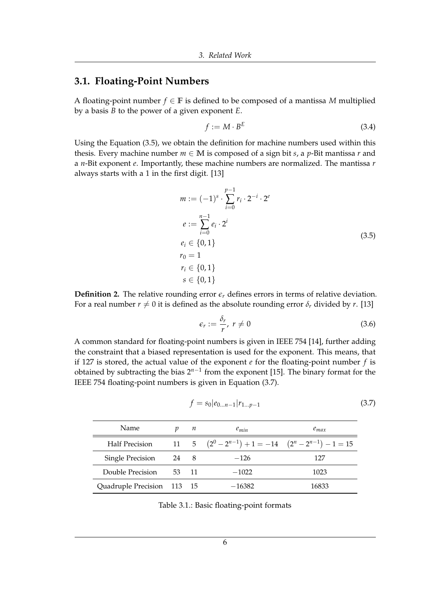#### <span id="page-11-0"></span>**3.1. Floating-Point Numbers**

A floating-point number  $f \in \mathbb{F}$  is defined to be composed of a mantissa *M* multiplied by a basis *B* to the power of a given exponent *E*.

$$
f := M \cdot B^E \tag{3.4}
$$

<span id="page-11-1"></span>Using the Equation [\(3.5\)](#page-11-1), we obtain the definition for machine numbers used within this thesis. Every machine number  $m \in M$  is composed of a sign bit *s*, a *p*-Bit mantissa *r* and a *n*-Bit exponent *e*. Importantly, these machine numbers are normalized. The mantissa *r* always starts with a 1 in the first digit. [\[13\]](#page-60-3)

$$
m := (-1)^s \cdot \sum_{i=0}^{p-1} r_i \cdot 2^{-i} \cdot 2^e
$$
  
\n
$$
e := \sum_{i=0}^{n-1} e_i \cdot 2^i
$$
  
\n
$$
e_i \in \{0, 1\}
$$
  
\n
$$
r_0 = 1
$$
  
\n
$$
r_i \in \{0, 1\}
$$
  
\n
$$
s \in \{0, 1\}
$$
  
\n(3.5)

<span id="page-11-3"></span>**Definition 2.** The relative rounding error  $\epsilon_r$  defines errors in terms of relative deviation. For a real number  $r \neq 0$  it is defined as the absolute rounding error  $\delta_r$  divided by *r*. [\[13\]](#page-60-3)

$$
\epsilon_r := \frac{\delta_r}{r}, \ r \neq 0 \tag{3.6}
$$

A common standard for floating-point numbers is given in IEEE 754 [\[14\]](#page-60-4), further adding the constraint that a biased representation is used for the exponent. This means, that if 127 is stored, the actual value of the exponent *e* for the floating-point number *f* is obtained by subtracting the bias 2<sup>n-1</sup> from the exponent [\[15\]](#page-60-5). The binary format for the IEEE 754 floating-point numbers is given in Equation [\(3.7\)](#page-11-2).

$$
f = s_0 | e_{0...n-1} | r_{1...p-1}
$$
 (3.7)

<span id="page-11-4"></span><span id="page-11-2"></span>

| Name.                      |       | п | $e_{min}$                                                   | $e_{max}$ |
|----------------------------|-------|---|-------------------------------------------------------------|-----------|
| <b>Half Precision</b>      |       |   | 11 5 $(2^0 - 2^{n-1}) + 1 = -14$ $(2^n - 2^{n-1}) - 1 = 15$ |           |
| Single Precision           | 24 8  |   | $-126$                                                      | 127       |
| Double Precision           | 53 11 |   | $-1022$                                                     | 1023      |
| Quadruple Precision 113 15 |       |   | $-16382$                                                    | 16833     |

Table 3.1.: Basic floating-point formats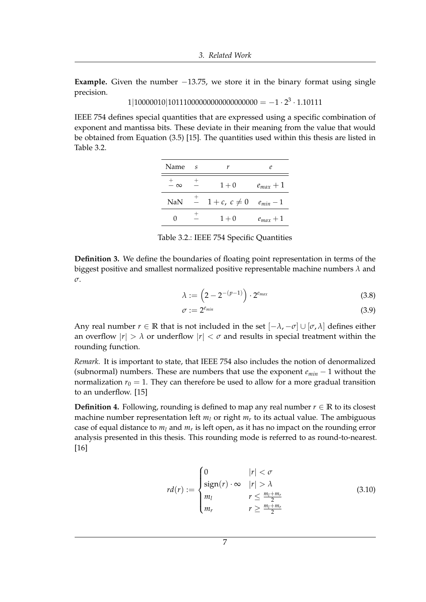**Example.** Given the number  $-13.75$ , we store it in the binary format using single precision.

```
1|10000010|10111000000000000000000 = -1 \cdot 2^3 \cdot 1.10111
```
<span id="page-12-0"></span>IEEE 754 defines special quantities that are expressed using a specific combination of exponent and mantissa bits. These deviate in their meaning from the value that would be obtained from Equation [\(3.5\)](#page-11-1) [\[15\]](#page-60-5). The quantities used within this thesis are listed in Table [3.2.](#page-12-0)

| Name                   | -S |                | e             |
|------------------------|----|----------------|---------------|
| $\frac{+}{-}$ $\infty$ |    | $1 + 0$        | $e_{max} + 1$ |
| NaN                    |    | $1+c, c\neq 0$ | $e_{min}-1$   |
|                        |    | $1 + 0$        | $e_{max} + 1$ |

Table 3.2.: IEEE 754 Specific Quantities

<span id="page-12-1"></span>**Definition 3.** We define the boundaries of floating point representation in terms of the biggest positive and smallest normalized positive representable machine numbers *λ* and *σ*.

$$
\lambda := \left(2 - 2^{-(p-1)}\right) \cdot 2^{e_{max}} \tag{3.8}
$$

$$
\sigma := 2^{e_{min}} \tag{3.9}
$$

Any real number  $r \in \mathbb{R}$  that is not included in the set  $[-\lambda, -\sigma] \cup [\sigma, \lambda]$  defines either an overflow  $|r| > \lambda$  or underflow  $|r| < \sigma$  and results in special treatment within the rounding function.

*Remark.* It is important to state, that IEEE 754 also includes the notion of denormalized (subnormal) numbers. These are numbers that use the exponent *emin* − 1 without the normalization  $r_0 = 1$ . They can therefore be used to allow for a more gradual transition to an underflow. [\[15\]](#page-60-5)

**Definition 4.** Following, rounding is defined to map any real number  $r \in \mathbb{R}$  to its closest machine number representation left  $m_l$  or right  $m_r$  to its actual value. The ambiguous case of equal distance to *m<sup>l</sup>* and *m<sup>r</sup>* is left open, as it has no impact on the rounding error analysis presented in this thesis. This rounding mode is referred to as round-to-nearest. [\[16\]](#page-60-6)

$$
rd(r) := \begin{cases} 0 & |r| < \sigma \\ sign(r) \cdot \infty & |r| > \lambda \\ m_l & r \le \frac{m_l + m_r}{2} \\ m_r & r \ge \frac{m_l + m_r}{2} \end{cases}
$$
(3.10)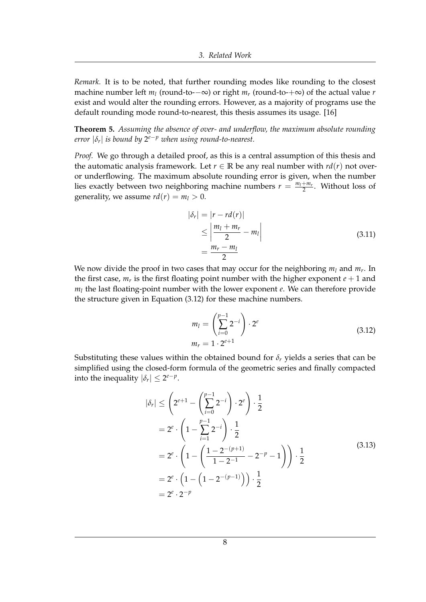*Remark.* It is to be noted, that further rounding modes like rounding to the closest machine number left *m<sup>l</sup>* (round-to-−∞) or right *m<sup>r</sup>* (round-to-+∞) of the actual value *r* exist and would alter the rounding errors. However, as a majority of programs use the default rounding mode round-to-nearest, this thesis assumes its usage. [\[16\]](#page-60-6)

<span id="page-13-1"></span>**Theorem 5.** *Assuming the absence of over- and underflow, the maximum absolute rounding error* |*δr*| *is bound by* 2 *<sup>e</sup>*−*<sup>p</sup> when using round-to-nearest.*

*Proof.* We go through a detailed proof, as this is a central assumption of this thesis and the automatic analysis framework. Let  $r \in \mathbb{R}$  be any real number with  $rd(r)$  not overor underflowing. The maximum absolute rounding error is given, when the number lies exactly between two neighboring machine numbers  $r = \frac{m_l + m_r}{2}$ . Without loss of generality, we assume  $rd(r) = m_l > 0$ .

$$
|\delta_r| = |r - rd(r)|
$$
  
\n
$$
\leq \left| \frac{m_l + m_r}{2} - m_l \right|
$$
  
\n
$$
= \frac{m_r - m_l}{2}
$$
\n(3.11)

<span id="page-13-0"></span>We now divide the proof in two cases that may occur for the neighboring *m<sup>l</sup>* and *m<sup>r</sup>* . In the first case,  $m_r$  is the first floating point number with the higher exponent  $e + 1$  and *ml* the last floating-point number with the lower exponent *e*. We can therefore provide the structure given in Equation [\(3.12\)](#page-13-0) for these machine numbers.

$$
m_l = \left(\sum_{i=0}^{p-1} 2^{-i}\right) \cdot 2^e
$$
  
\n
$$
m_r = 1 \cdot 2^{e+1}
$$
\n(3.12)

Substituting these values within the obtained bound for  $\delta_r$  yields a series that can be simplified using the closed-form formula of the geometric series and finally compacted into the inequality  $|\delta_r| \leq 2^{e-p}$ .

$$
|\delta_r| \leq \left(2^{e+1} - \left(\sum_{i=0}^{p-1} 2^{-i}\right) \cdot 2^e\right) \cdot \frac{1}{2}
$$
  
=  $2^e \cdot \left(1 - \sum_{i=1}^{p-1} 2^{-i}\right) \cdot \frac{1}{2}$   
=  $2^e \cdot \left(1 - \left(\frac{1 - 2^{-(p+1)}}{1 - 2^{-1}} - 2^{-p} - 1\right)\right) \cdot \frac{1}{2}$   
=  $2^e \cdot \left(1 - \left(1 - 2^{-(p-1)}\right)\right) \cdot \frac{1}{2}$  (3.13)  
=  $2^e \cdot 2^{-p}$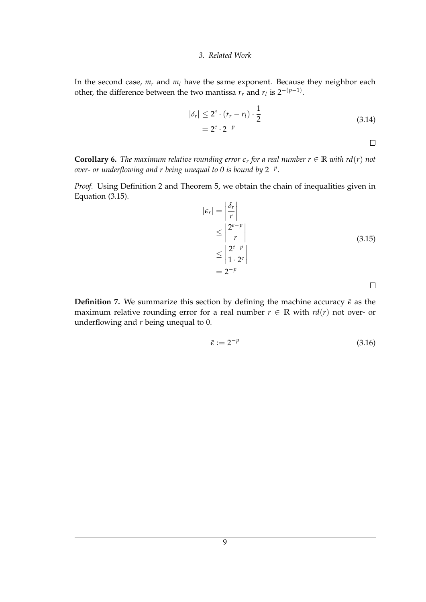In the second case,  $m_r$  and  $m_l$  have the same exponent. Because they neighbor each other, the difference between the two mantissa  $r_r$  and  $r_l$  is  $2^{-(p-1)}$ .

$$
|\delta_r| \le 2^e \cdot (r_r - r_l) \cdot \frac{1}{2}
$$
  
=  $2^e \cdot 2^{-p}$  (3.14)

 $\Box$ 

<span id="page-14-1"></span>**Corollary 6.** *The maximum relative rounding error*  $\epsilon_r$  for a real number  $r \in \mathbb{R}$  with rd(r) not *over- or underflowing and r being unequal to 0 is bound by* 2 −*p* .

<span id="page-14-0"></span>*Proof.* Using Definition [2](#page-11-3) and Theorem [5,](#page-13-1) we obtain the chain of inequalities given in Equation [\(3.15\)](#page-14-0).

$$
|\epsilon_r| = \left| \frac{\delta_r}{r} \right|
$$
  
\n
$$
\leq \left| \frac{2^{e-p}}{r} \right|
$$
  
\n
$$
\leq \left| \frac{2^{e-p}}{1 \cdot 2^e} \right|
$$
  
\n
$$
= 2^{-p}
$$
\n(3.15)

 $\Box$ 

**Definition 7.** We summarize this section by defining the machine accuracy  $\bar{\epsilon}$  as the maximum relative rounding error for a real number  $r \in \mathbb{R}$  with  $rd(r)$  not over- or underflowing and *r* being unequal to 0.

$$
\bar{\epsilon} := 2^{-p} \tag{3.16}
$$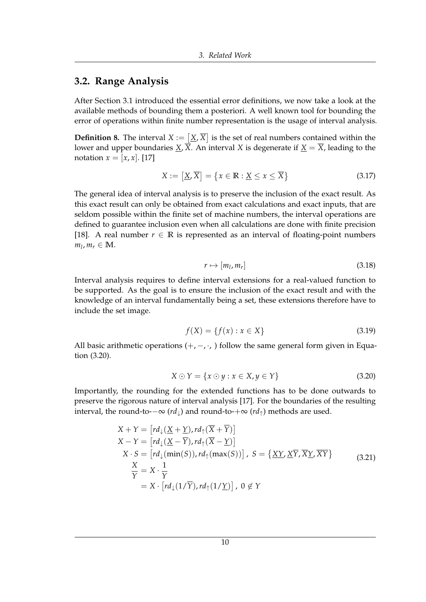#### <span id="page-15-0"></span>**3.2. Range Analysis**

After Section [3.1](#page-11-0) introduced the essential error definitions, we now take a look at the available methods of bounding them a posteriori. A well known tool for bounding the error of operations within finite number representation is the usage of interval analysis.

**Definition 8.** The interval  $X := \left[\underline{X}, \overline{X}\right]$  is the set of real numbers contained within the lower and upper boundaries *X*,  $\overline{X}$ . An interval *X* is degenerate if *X* =  $\overline{X}$ , leading to the notation  $x = [x, x]$ . [\[17\]](#page-60-7)

$$
X := \left[ \underline{X}, \overline{X} \right] = \left\{ x \in \mathbb{R} : \underline{X} \le x \le \overline{X} \right\} \tag{3.17}
$$

The general idea of interval analysis is to preserve the inclusion of the exact result. As this exact result can only be obtained from exact calculations and exact inputs, that are seldom possible within the finite set of machine numbers, the interval operations are defined to guarantee inclusion even when all calculations are done with finite precision [\[18\]](#page-60-8). A real number  $r \in \mathbb{R}$  is represented as an interval of floating-point numbers  $m_l$ ,  $m_r \in M$ .

$$
r \mapsto [m_l, m_r] \tag{3.18}
$$

Interval analysis requires to define interval extensions for a real-valued function to be supported. As the goal is to ensure the inclusion of the exact result and with the knowledge of an interval fundamentally being a set, these extensions therefore have to include the set image.

$$
f(X) = \{f(x) : x \in X\}
$$
\n(3.19)

<span id="page-15-2"></span><span id="page-15-1"></span>All basic arithmetic operations  $(+, -, \cdot)$  follow the same general form given in Equation [\(3.20\)](#page-15-1).

$$
X \odot Y = \{x \odot y : x \in X, y \in Y\}
$$
\n
$$
(3.20)
$$

Importantly, the rounding for the extended functions has to be done outwards to preserve the rigorous nature of interval analysis [\[17\]](#page-60-7). For the boundaries of the resulting interval, the round-to- $-\infty$  (*rd*<sub>⊥</sub>) and round-to- $+\infty$  (*rd*<sub>↑</sub>) methods are used.

$$
X + Y = [rd_{\downarrow}(\underline{X} + \underline{Y}), rd_{\uparrow}(\overline{X} + \overline{Y})]
$$
  
\n
$$
X - Y = [rd_{\downarrow}(\underline{X} - \overline{Y}), rd_{\uparrow}(\overline{X} - \underline{Y})]
$$
  
\n
$$
X \cdot S = [rd_{\downarrow}(\min(S)), rd_{\uparrow}(\max(S))] , S = \{XY, \underline{XY}, \overline{X}Y, \overline{XY}\}
$$
  
\n
$$
\frac{X}{Y} = X \cdot \frac{1}{Y}
$$
  
\n
$$
= X \cdot [rd_{\downarrow}(1/\overline{Y}), rd_{\uparrow}(1/\underline{Y})] , 0 \notin Y
$$
\n(3.21)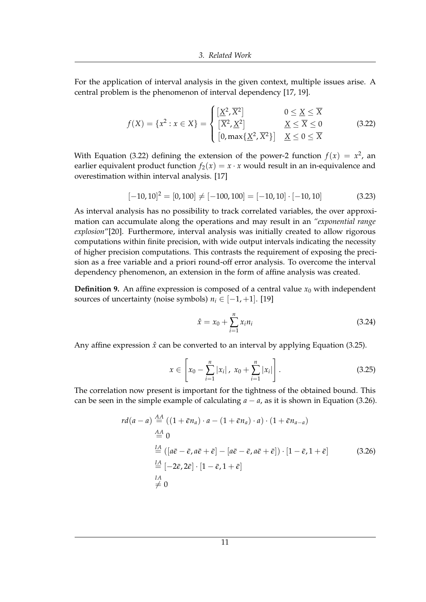For the application of interval analysis in the given context, multiple issues arise. A central problem is the phenomenon of interval dependency [\[17,](#page-60-7) [19\]](#page-60-9).

<span id="page-16-0"></span>
$$
f(X) = \{x^2 : x \in X\} = \begin{cases} \left[\underline{X}^2, \overline{X}^2\right] & 0 \le \underline{X} \le \overline{X} \\ \left[\overline{X}^2, \underline{X}^2\right] & \underline{X} \le \overline{X} \le 0 \\ \left[0, \max\{\underline{X}^2, \overline{X}^2\}\right] & \underline{X} \le 0 \le \overline{X} \end{cases}
$$
(3.22)

With Equation [\(3.22\)](#page-16-0) defining the extension of the power-2 function  $f(x) = x^2$ , an earlier equivalent product function  $f_2(x) = x \cdot x$  would result in an in-equivalence and overestimation within interval analysis. [\[17\]](#page-60-7)

$$
[-10, 10]2 = [0, 100] \neq [-100, 100] = [-10, 10] \cdot [-10, 10]
$$
 (3.23)

As interval analysis has no possibility to track correlated variables, the over approximation can accumulate along the operations and may result in an *"exponential range explosion*"[\[20\]](#page-60-10). Furthermore, interval analysis was initially created to allow rigorous computations within finite precision, with wide output intervals indicating the necessity of higher precision computations. This contrasts the requirement of exposing the precision as a free variable and a priori round-off error analysis. To overcome the interval dependency phenomenon, an extension in the form of affine analysis was created.

**Definition 9.** An affine expression is composed of a central value  $x_0$  with independent sources of uncertainty (noise symbols)  $n_i \in [-1, +1]$ . [\[19\]](#page-60-9)

$$
\hat{x} = x_0 + \sum_{i=1}^{n} x_i n_i
$$
\n(3.24)

<span id="page-16-1"></span>Any affine expression  $\hat{x}$  can be converted to an interval by applying Equation [\(3.25\)](#page-16-1).

$$
x \in \left[x_0 - \sum_{i=1}^n |x_i|, x_0 + \sum_{i=1}^n |x_i|\right].
$$
 (3.25)

<span id="page-16-2"></span>The correlation now present is important for the tightness of the obtained bound. This can be seen in the simple example of calculating  $a - a$ , as it is shown in Equation [\(3.26\)](#page-16-2).

$$
rd(a-a) \stackrel{AA}{=} ((1+\bar{\epsilon}n_a) \cdot a - (1+\bar{\epsilon}n_a) \cdot a) \cdot (1+\bar{\epsilon}n_{a-a})
$$
  
\n
$$
\stackrel{AA}{=} 0
$$
  
\n
$$
\stackrel{IA}{=} ([a\bar{e} - \bar{e}, a\bar{e} + \bar{e}] - [a\bar{e} - \bar{e}, a\bar{e} + \bar{e}] ) \cdot [1-\bar{e}, 1+\bar{e}]
$$
  
\n
$$
\stackrel{IA}{=} [-2\bar{e}, 2\bar{e}] \cdot [1-\bar{e}, 1+\bar{e}]
$$
  
\n
$$
\stackrel{IA}{\neq} 0
$$
\n(3.26)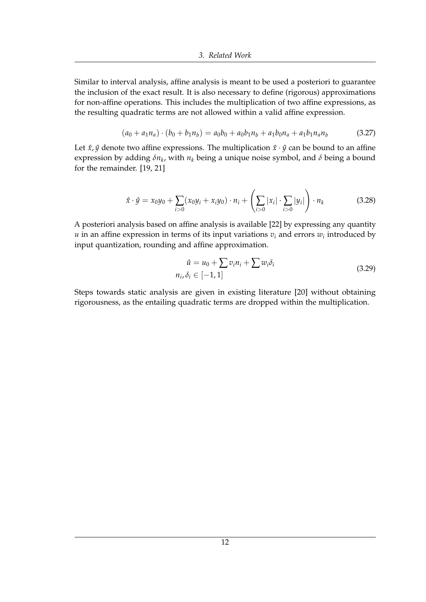Similar to interval analysis, affine analysis is meant to be used a posteriori to guarantee the inclusion of the exact result. It is also necessary to define (rigorous) approximations for non-affine operations. This includes the multiplication of two affine expressions, as the resulting quadratic terms are not allowed within a valid affine expression.

$$
(a_0 + a_1 n_a) \cdot (b_0 + b_1 n_b) = a_0 b_0 + a_0 b_1 n_b + a_1 b_0 n_a + a_1 b_1 n_a n_b \tag{3.27}
$$

Let  $\hat{x}$ ,  $\hat{y}$  denote two affine expressions. The multiplication  $\hat{x} \cdot \hat{y}$  can be bound to an affine expression by adding *δn<sup>k</sup>* , with *n<sup>k</sup>* being a unique noise symbol, and *δ* being a bound for the remainder. [\[19,](#page-60-9) [21\]](#page-60-11)

$$
\hat{x} \cdot \hat{y} = x_0 y_0 + \sum_{i>0} (x_0 y_i + x_i y_0) \cdot n_i + \left( \sum_{i>0} |x_i| \cdot \sum_{i>0} |y_i| \right) \cdot n_k \tag{3.28}
$$

A posteriori analysis based on affine analysis is available [\[22\]](#page-60-12) by expressing any quantity *u* in an affine expression in terms of its input variations  $v_i$  and errors  $w_i$  introduced by input quantization, rounding and affine approximation.

$$
\hat{u} = u_0 + \sum v_i n_i + \sum w_i \delta_i
$$
  
\n
$$
n_i, \delta_i \in [-1, 1]
$$
\n(3.29)

Steps towards static analysis are given in existing literature [\[20\]](#page-60-10) without obtaining rigorousness, as the entailing quadratic terms are dropped within the multiplication.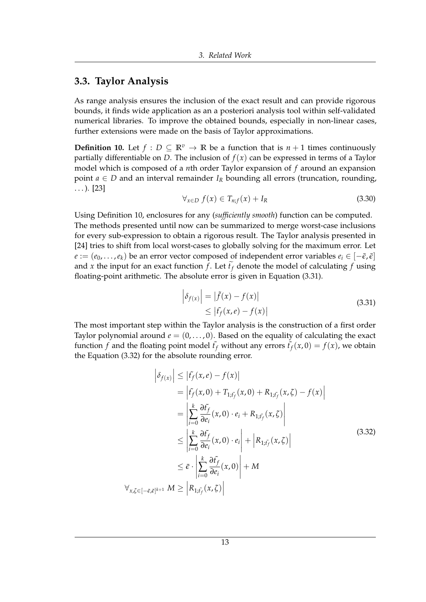#### <span id="page-18-0"></span>**3.3. Taylor Analysis**

As range analysis ensures the inclusion of the exact result and can provide rigorous bounds, it finds wide application as an a posteriori analysis tool within self-validated numerical libraries. To improve the obtained bounds, especially in non-linear cases, further extensions were made on the basis of Taylor approximations.

<span id="page-18-1"></span>**Definition 10.** Let  $f: D \subseteq \mathbb{R}^v \to \mathbb{R}$  be a function that is  $n+1$  times continuously partially differentiable on *D*. The inclusion of  $f(x)$  can be expressed in terms of a Taylor model which is composed of a *n*th order Taylor expansion of *f* around an expansion point  $a \in D$  and an interval remainder  $I_R$  bounding all errors (truncation, rounding,  $\ldots$ ). [\[23\]](#page-61-0)

$$
\forall_{x \in D} f(x) \in T_{n;f}(x) + I_R \tag{3.30}
$$

Using Definition [10,](#page-18-1) enclosures for any (*sufficiently smooth*) function can be computed. The methods presented until now can be summarized to merge worst-case inclusions for every sub-expression to obtain a rigorous result. The Taylor analysis presented in [\[24\]](#page-61-1) tries to shift from local worst-cases to globally solving for the maximum error. Let  $e := (e_0, \ldots, e_k)$  be an error vector composed of independent error variables  $e_i \in [-\bar{\epsilon}, \bar{\epsilon}]$ and *x* the input for an exact function *f*. Let  $\tilde{t}_f$  denote the model of calculating *f* using floating-point arithmetic. The absolute error is given in Equation [\(3.31\)](#page-18-2).

<span id="page-18-3"></span>
$$
\left| \delta_{f(x)} \right| = \left| \tilde{f}(x) - f(x) \right|
$$
  
\n
$$
\leq \left| \tilde{f}_f(x, e) - f(x) \right|
$$
\n(3.31)

<span id="page-18-2"></span>The most important step within the Taylor analysis is the construction of a first order Taylor polynomial around  $e = (0, \ldots, 0)$ . Based on the equality of calculating the exact function *f* and the floating point model  $\tilde{t}_f$  without any errors  $\tilde{t}_f(x, 0) = f(x)$ , we obtain the Equation [\(3.32\)](#page-18-3) for the absolute rounding error.

$$
\left| \delta_{f(x)} \right| \leq \left| f_{f}(x, e) - f(x) \right|
$$
  
\n
$$
= \left| f_{f}(x, 0) + T_{1, \tilde{t}_{f}}(x, 0) + R_{1, \tilde{t}_{f}}(x, \zeta) - f(x) \right|
$$
  
\n
$$
= \left| \sum_{i=0}^{k} \frac{\partial f_{f}}{\partial e_{i}}(x, 0) \cdot e_{i} + R_{1, \tilde{t}_{f}}(x, \zeta) \right|
$$
  
\n
$$
\leq \left| \sum_{i=0}^{k} \frac{\partial f_{f}}{\partial e_{i}}(x, 0) \cdot e_{i} \right| + \left| R_{1, \tilde{t}_{f}}(x, \zeta) \right|
$$
  
\n
$$
\leq \bar{\epsilon} \cdot \left| \sum_{i=0}^{k} \frac{\partial f_{f}}{\partial e_{i}}(x, 0) \right| + M
$$
  
\n
$$
\forall_{x, \zeta \in [-\bar{\epsilon}, \bar{\epsilon}]^{k+1}} M \geq \left| R_{1, \tilde{t}_{f}}(x, \zeta) \right|
$$
  
\n(3.32)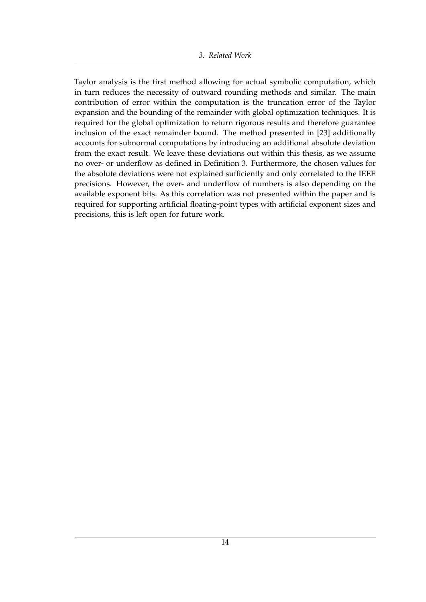Taylor analysis is the first method allowing for actual symbolic computation, which in turn reduces the necessity of outward rounding methods and similar. The main contribution of error within the computation is the truncation error of the Taylor expansion and the bounding of the remainder with global optimization techniques. It is required for the global optimization to return rigorous results and therefore guarantee inclusion of the exact remainder bound. The method presented in [\[23\]](#page-61-0) additionally accounts for subnormal computations by introducing an additional absolute deviation from the exact result. We leave these deviations out within this thesis, as we assume no over- or underflow as defined in Definition [3.](#page-12-1) Furthermore, the chosen values for the absolute deviations were not explained sufficiently and only correlated to the IEEE precisions. However, the over- and underflow of numbers is also depending on the available exponent bits. As this correlation was not presented within the paper and is required for supporting artificial floating-point types with artificial exponent sizes and precisions, this is left open for future work.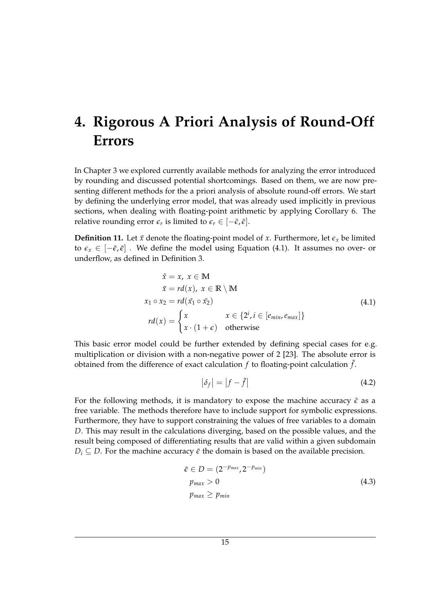# <span id="page-20-0"></span>**4. Rigorous A Priori Analysis of Round-Off Errors**

In Chapter [3](#page-10-0) we explored currently available methods for analyzing the error introduced by rounding and discussed potential shortcomings. Based on them, we are now presenting different methods for the a priori analysis of absolute round-off errors. We start by defining the underlying error model, that was already used implicitly in previous sections, when dealing with floating-point arithmetic by applying Corollary [6.](#page-14-1) The relative rounding error  $\epsilon_r$  is limited to  $\epsilon_r \in [-\bar{\epsilon}, \bar{\epsilon}].$ 

<span id="page-20-2"></span><span id="page-20-1"></span>**Definition 11.** Let  $\tilde{x}$  denote the floating-point model of  $x$ . Furthermore, let  $\epsilon_x$  be limited to  $\epsilon_x \in [-\bar{\epsilon}, \bar{\epsilon}]$ . We define the model using Equation [\(4.1\)](#page-20-1). It assumes no over- or underflow, as defined in Definition [3.](#page-12-1)

$$
\tilde{x} = x, \ x \in M
$$
\n
$$
\tilde{x} = rd(x), \ x \in \mathbb{R} \setminus M
$$
\n
$$
x_1 \circ x_2 = rd(\tilde{x}_1 \circ \tilde{x}_2)
$$
\n
$$
rd(x) = \begin{cases} x & x \in \{2^i, i \in [e_{min}, e_{max}]\} \\ x \cdot (1 + \epsilon) & \text{otherwise} \end{cases}
$$
\n(4.1)

This basic error model could be further extended by defining special cases for e.g. multiplication or division with a non-negative power of 2 [\[23\]](#page-61-0). The absolute error is obtained from the difference of exact calculation  $f$  to floating-point calculation  $\tilde{f}$ .

$$
|\delta_f| = |f - \tilde{f}| \tag{4.2}
$$

For the following methods, it is mandatory to expose the machine accuracy  $\bar{\epsilon}$  as a free variable. The methods therefore have to include support for symbolic expressions. Furthermore, they have to support constraining the values of free variables to a domain *D*. This may result in the calculations diverging, based on the possible values, and the result being composed of differentiating results that are valid within a given subdomain  $D_i \subseteq D$ . For the machine accuracy  $\bar{\epsilon}$  the domain is based on the available precision.

$$
\bar{\epsilon} \in D = (2^{-p_{max}}, 2^{-p_{min}})
$$
  
\n
$$
p_{max} > 0
$$
  
\n
$$
p_{max} \ge p_{min}
$$
\n(4.3)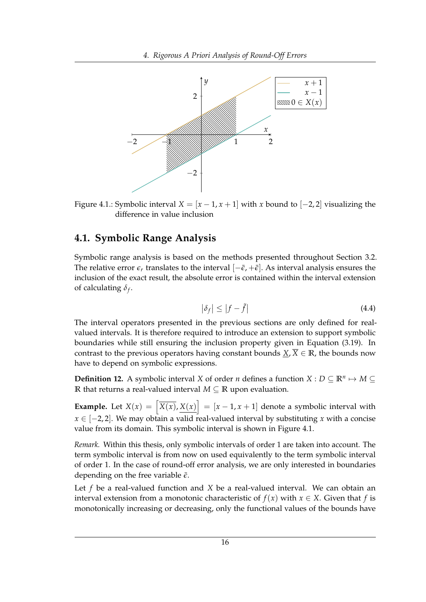<span id="page-21-1"></span>

Figure 4.1.: Symbolic interval  $X = [x - 1, x + 1]$  with x bound to  $[-2, 2]$  visualizing the difference in value inclusion

### <span id="page-21-0"></span>**4.1. Symbolic Range Analysis**

Symbolic range analysis is based on the methods presented throughout Section [3.2.](#page-15-0) The relative error  $\epsilon_r$  translates to the interval  $[-\bar{\epsilon}, +\bar{\epsilon}]$ . As interval analysis ensures the inclusion of the exact result, the absolute error is contained within the interval extension of calculating *δ<sup>f</sup>* .

$$
\left|\delta_f\right| \le \left|f - \tilde{f}\right| \tag{4.4}
$$

The interval operators presented in the previous sections are only defined for realvalued intervals. It is therefore required to introduce an extension to support symbolic boundaries while still ensuring the inclusion property given in Equation [\(3.19\)](#page-15-2). In contrast to the previous operators having constant bounds  $\underline{X}$ ,  $\overline{X} \in \mathbb{R}$ , the bounds now have to depend on symbolic expressions.

**Definition 12.** A symbolic interval *X* of order *n* defines a function *X* :  $D \subseteq \mathbb{R}^n \mapsto M \subseteq$ **R** that returns a real-valued interval *M* ⊆ **R** upon evaluation.

**Example.** Let  $X(x) = \left[\overline{X(x)}\right], X(x)$  =  $[x-1, x+1]$  denote a symbolic interval with *x* ∈ [−2, 2]. We may obtain a valid real-valued interval by substituting *x* with a concise value from its domain. This symbolic interval is shown in Figure [4.1.](#page-21-1)

*Remark.* Within this thesis, only symbolic intervals of order 1 are taken into account. The term symbolic interval is from now on used equivalently to the term symbolic interval of order 1. In the case of round-off error analysis, we are only interested in boundaries depending on the free variable  $\bar{\epsilon}$ .

Let *f* be a real-valued function and *X* be a real-valued interval. We can obtain an interval extension from a monotonic characteristic of  $f(x)$  with  $x \in X$ . Given that f is monotonically increasing or decreasing, only the functional values of the bounds have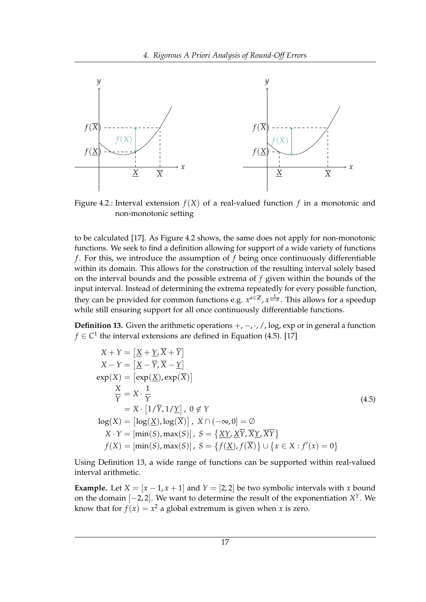<span id="page-22-0"></span>

Figure 4.2.: Interval extension  $f(X)$  of a real-valued function  $f$  in a monotonic and non-monotonic setting

to be calculated [\[17\]](#page-60-7). As Figure [4.2](#page-22-0) shows, the same does not apply for non-monotonic functions. We seek to find a definition allowing for support of a wide variety of functions *f* . For this, we introduce the assumption of *f* being once continuously differentiable within its domain. This allows for the construction of the resulting interval solely based on the interval bounds and the possible extrema of *f* given within the bounds of the input interval. Instead of determining the extrema repeatedly for every possible function, they can be provided for common functions e.g.  $x^{a∈\mathbb{Z}}$ ,  $x^{\frac{1}{n∈\mathbb{Z}}}$ . This allows for a speedup while still ensuring support for all once continuously differentiable functions.

<span id="page-22-2"></span>**Definition 13.** Given the arithmetic operations  $+$ ,  $-$ ,  $\cdot$ ,  $/$ , log, exp or in general a function *f* ∈  $C$ <sup>1</sup> the interval extensions are defined in Equation [\(4.5\)](#page-22-1). [\[17\]](#page-60-7)

<span id="page-22-1"></span>
$$
X + Y = \left[ \underline{X} + \underline{Y}, \overline{X} + \overline{Y} \right]
$$
  
\n
$$
X - Y = \left[ \underline{X} - \overline{Y}, \overline{X} - \underline{Y} \right]
$$
  
\n
$$
exp(X) = \left[ exp(\underline{X}), exp(\overline{X}) \right]
$$
  
\n
$$
\frac{X}{Y} = X \cdot \frac{1}{Y}
$$
  
\n
$$
log(X) = \left[ log(\underline{X}), log(\overline{X}) \right], X \cap (-\infty, 0] = \emptyset
$$
  
\n
$$
X \cdot Y = \left[ min(S), max(S) \right], S = \left\{ \underline{XY}, \underline{XY}, \overline{XY} \right\}
$$
  
\n
$$
f(X) = \left[ min(S), max(S) \right], S = \left\{ f(\underline{X}), f(\overline{X}) \right\} \cup \left\{ x \in X : f'(x) = 0 \right\}
$$

Using Definition [13,](#page-22-2) a wide range of functions can be supported within real-valued interval arithmetic.

**Example.** Let  $X = [x - 1, x + 1]$  and  $Y = [2, 2]$  be two symbolic intervals with *x* bound on the domain [−2, 2]. We want to determine the result of the exponentiation *X <sup>Y</sup>*. We know that for  $f(x) = x^2$  a global extremum is given when *x* is zero.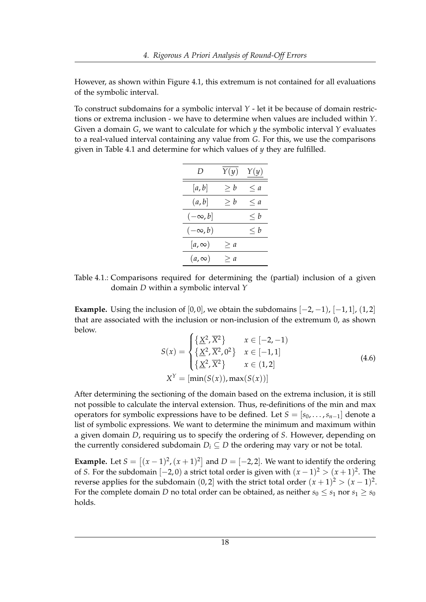However, as shown within Figure [4.1,](#page-21-1) this extremum is not contained for all evaluations of the symbolic interval.

<span id="page-23-0"></span>To construct subdomains for a symbolic interval *Y* - let it be because of domain restrictions or extrema inclusion - we have to determine when values are included within *Y*. Given a domain *G*, we want to calculate for which *y* the symbolic interval *Y* evaluates to a real-valued interval containing any value from *G*. For this, we use the comparisons given in Table [4.1](#page-23-0) and determine for which values of *y* they are fulfilled.

| D              | Y(y)     | Y(y)     |
|----------------|----------|----------|
| [a, b]         | $\geq b$ | $\leq a$ |
| (a, b]         | $\geq b$ | $\leq a$ |
| $(-\infty, b]$ |          | $\leq b$ |
| $(-\infty, b)$ |          | $\leq b$ |
| $[a,\infty)$   | $\geq a$ |          |
| $(a,\infty)$   | $\geq a$ |          |

Table 4.1.: Comparisons required for determining the (partial) inclusion of a given domain *D* within a symbolic interval *Y*

**Example.** Using the inclusion of  $[0, 0]$ , we obtain the subdomains  $[-2, -1)$ ,  $[-1, 1]$ ,  $(1, 2]$ that are associated with the inclusion or non-inclusion of the extremum 0, as shown below.

$$
S(x) = \begin{cases} \left\{ \frac{X^2}{X^2} \right\} & x \in [-2, -1) \\ \left\{ \frac{X^2}{X^2}, \frac{X^2}{X^2} \right\} & x \in [-1, 1] \\ \left\{ \frac{X^2}{X^2}, \frac{X^2}{X^2} \right\} & x \in (1, 2] \\ X^Y = [\min(S(x)), \max(S(x))] \end{cases}
$$
(4.6)

After determining the sectioning of the domain based on the extrema inclusion, it is still not possible to calculate the interval extension. Thus, re-definitions of the min and max operators for symbolic expressions have to be defined. Let  $S = [s_0, \ldots, s_{n-1}]$  denote a list of symbolic expressions. We want to determine the minimum and maximum within a given domain *D*, requiring us to specify the ordering of *S*. However, depending on the currently considered subdomain  $D_i \subseteq D$  the ordering may vary or not be total.

**Example.** Let  $S = \left[ (x-1)^2, (x+1)^2 \right]$  and  $D = \left[ -2, 2 \right]$ . We want to identify the ordering of *S*. For the subdomain  $[-2, 0)$  a strict total order is given with  $(x - 1)^2 > (x + 1)^2$ . The reverse applies for the subdomain  $(0,2]$  with the strict total order  $(x+1)^2 > (x-1)^2$ . For the complete domain *D* no total order can be obtained, as neither  $s_0 \leq s_1$  nor  $s_1 \geq s_0$ holds.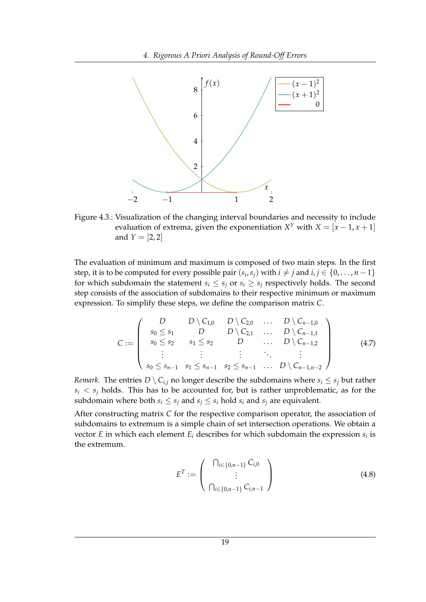<span id="page-24-0"></span>

Figure 4.3.: Visualization of the changing interval boundaries and necessity to include evaluation of extrema, given the exponentiation  $X^Y$  with  $X = [x - 1, x + 1]$ and  $Y = [2, 2]$ 

The evaluation of minimum and maximum is composed of two main steps. In the first step, it is to be computed for every possible pair  $(s_i, s_j)$  with  $i \neq j$  and  $i, j \in \{0, \ldots, n-1\}$ for which subdomain the statement  $s_i \leq s_j$  or  $s_i \geq s_j$  respectively holds. The second step consists of the association of subdomains to their respective minimum or maximum expression. To simplify these steps, we define the comparison matrix *C*.

$$
C := \left( \begin{array}{ccccc} D & D \setminus C_{1,0} & D \setminus C_{2,0} & \dots & D \setminus C_{n-1,0} \\ s_0 \le s_1 & D & D \setminus C_{2,1} & \dots & D \setminus C_{n-1,1} \\ s_0 \le s_2 & s_1 \le s_2 & D & \dots & D \setminus C_{n-1,2} \\ \vdots & \vdots & \vdots & \ddots & \vdots \\ s_0 \le s_{n-1} & s_1 \le s_{n-1} & s_2 \le s_{n-1} & \dots & D \setminus C_{n-1,n-2} \end{array} \right) \tag{4.7}
$$

*Remark.* The entries  $D \setminus C_{i,j}$  no longer describe the subdomains where  $s_i \leq s_j$  but rather  $s_i < s_j$  holds. This has to be accounted for, but is rather unproblematic, as for the subdomain where both  $s_i \leq s_j$  and  $s_j \leq s_i$  hold  $s_i$  and  $s_j$  are equivalent.

After constructing matrix *C* for the respective comparison operator, the association of subdomains to extremum is a simple chain of set intersection operations. We obtain a vector *E* in which each element *E<sup>i</sup>* describes for which subdomain the expression *s<sup>i</sup>* is the extremum.

$$
E^{T} := \left(\begin{array}{c} \bigcap_{i \in \{0, n-1\}} C_{i,0} \\ \vdots \\ \bigcap_{i \in \{0, n-1\}} C_{i,n-1} \end{array}\right) \tag{4.8}
$$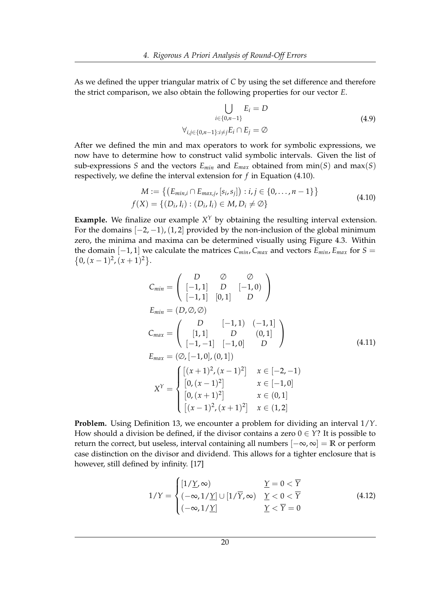As we defined the upper triangular matrix of *C* by using the set difference and therefore the strict comparison, we also obtain the following properties for our vector *E*.

<span id="page-25-0"></span>
$$
\bigcup_{i \in \{0, n-1\}} E_i = D
$$
\n
$$
\forall_{i,j \in \{0, n-1\} : i \neq j} E_i \cap E_j = \emptyset
$$
\n(4.9)

After we defined the min and max operators to work for symbolic expressions, we now have to determine how to construct valid symbolic intervals. Given the list of sub-expressions *S* and the vectors  $E_{min}$  and  $E_{max}$  obtained from min(*S*) and max(*S*) respectively, we define the interval extension for *f* in Equation [\(4.10\)](#page-25-0).

$$
M := \{ (E_{min,i} \cap E_{max,j}, [s_i, s_j]) : i, j \in \{0, ..., n-1\} \}
$$
  

$$
f(X) = \{ (D_i, I_i) : (D_i, I_i) \in M, D_i \neq \emptyset \}
$$
 (4.10)

**Example.** We finalize our example  $X<sup>Y</sup>$  by obtaining the resulting interval extension. For the domains  $[-2, -1)$ ,  $(1, 2]$  provided by the non-inclusion of the global minimum zero, the minima and maxima can be determined visually using Figure [4.3.](#page-24-0) Within the domain  $[-1, 1]$  we calculate the matrices  $C_{min}$ ,  $C_{max}$  and vectors  $E_{min}$ ,  $E_{max}$  for  $S =$  $\{0, (x-1)^2, (x+1)^2\}.$ 

$$
C_{min} = \begin{pmatrix} D & \oslash & \oslash \\ [-1,1] & D & [-1,0) \\ [-1,1] & [0,1] & D \end{pmatrix}
$$
  
\n
$$
E_{min} = (D,\oslash\oslash)
$$
  
\n
$$
C_{max} = \begin{pmatrix} D & [-1,1) & (-1,1] \\ [1,1] & D & (0,1] \\ [-1,-1] & [-1,0] & D \end{pmatrix}
$$
  
\n
$$
E_{max} = (\oslash, [-1,0], (0,1])
$$
  
\n
$$
X^{Y} = \begin{cases} [(x+1)^{2}, (x-1)^{2}] & x \in [-2,-1) \\ [0,(x-1)^{2}] & x \in [-1,0] \\ [0,(x+1)^{2}] & x \in (0,1] \\ [(x-1)^{2}, (x+1)^{2}] & x \in (1,2] \end{cases}
$$

**Problem.** Using Definition [13,](#page-22-2) we encounter a problem for dividing an interval 1/*Y*. How should a division be defined, if the divisor contains a zero  $0 \in Y$ ? It is possible to return the correct, but useless, interval containing all numbers [−∞, ∞] = **R** or perform case distinction on the divisor and dividend. This allows for a tighter enclosure that is however, still defined by infinity. [\[17\]](#page-60-7)

$$
1/Y = \begin{cases} [1/\underline{Y}, \infty) & \underline{Y} = 0 < \overline{Y} \\ (-\infty, 1/\underline{Y}] \cup [1/\overline{Y}, \infty) & \underline{Y} < 0 < \overline{Y} \\ (-\infty, 1/\underline{Y}] & \underline{Y} < \overline{Y} = 0 \end{cases}
$$
(4.12)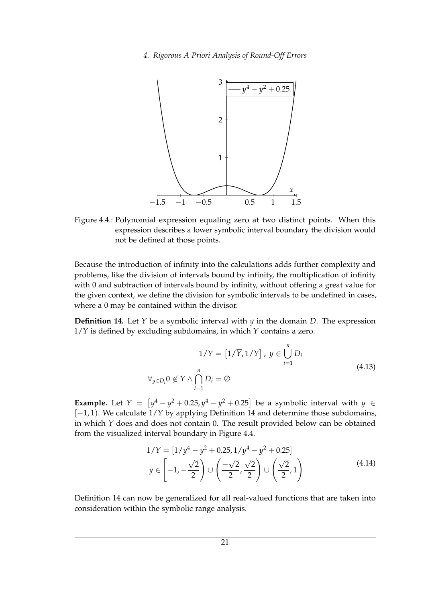<span id="page-26-1"></span>

Figure 4.4.: Polynomial expression equaling zero at two distinct points. When this expression describes a lower symbolic interval boundary the division would not be defined at those points.

Because the introduction of infinity into the calculations adds further complexity and problems, like the division of intervals bound by infinity, the multiplication of infinity with 0 and subtraction of intervals bound by infinity, without offering a great value for the given context, we define the division for symbolic intervals to be undefined in cases, where a 0 may be contained within the divisor.

<span id="page-26-0"></span>**Definition 14.** Let *Y* be a symbolic interval with *y* in the domain *D*. The expression 1/*Y* is defined by excluding subdomains, in which *Y* contains a zero.

$$
1/Y = [1/\overline{Y}, 1/\underline{Y}], y \in \bigcup_{i=1}^{n} D_i
$$
  

$$
\forall_{y \in D_i} 0 \notin Y \land \bigcap_{i=1}^{n} D_i = \emptyset
$$
\n(4.13)

**Example.** Let  $Y = \left[ y^4 - y^2 + 0.25, y^4 - y^2 + 0.25 \right]$  be a symbolic interval with  $y \in$ [−1, 1). We calculate 1/*Y* by applying Definition [14](#page-26-0) and determine those subdomains, in which *Y* does and does not contain 0. The result provided below can be obtained from the visualized interval boundary in Figure [4.4.](#page-26-1)

$$
1/Y = [1/y4 - y2 + 0.25, 1/y4 - y2 + 0.25]
$$
  

$$
y \in \left[-1, -\frac{\sqrt{2}}{2}\right) \cup \left(\frac{-\sqrt{2}}{2}, \frac{\sqrt{2}}{2}\right) \cup \left(\frac{\sqrt{2}}{2}, 1\right)
$$
(4.14)

Definition [14](#page-26-0) can now be generalized for all real-valued functions that are taken into consideration within the symbolic range analysis.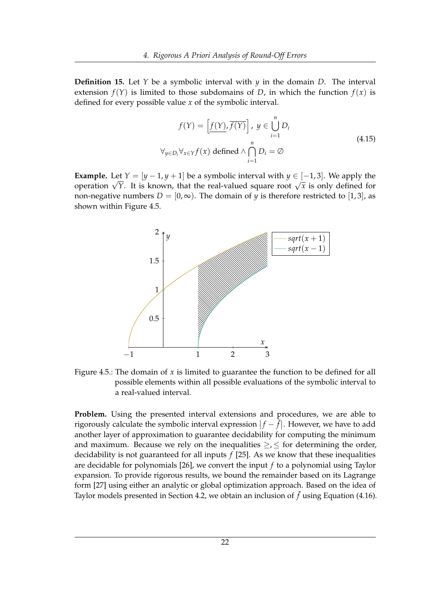**Definition 15.** Let *Y* be a symbolic interval with  $\psi$  in the domain *D*. The interval extension  $f(Y)$  is limited to those subdomains of *D*, in which the function  $f(x)$  is defined for every possible value *x* of the symbolic interval.

$$
f(Y) = \left[\underline{f(Y)}, \overline{f(Y)}\right], y \in \bigcup_{i=1}^{n} D_i
$$
  

$$
\forall_{y \in D_i} \forall_{x \in Y} f(x) \text{ defined } \land \bigcap_{i=1}^{n} D_i = \emptyset
$$
\n(4.15)

**Example.** Let  $Y = [y - 1, y + 1]$  be a symbolic interval with  $y \in [-1, 3]$ . We apply the **Example.** Let  $Y = [y-1, y+1]$  be a symbolic interval with  $y \in [-1, 3]$ . We apply the operation  $\sqrt{Y}$ . It is known, that the real-valued square root  $\sqrt{x}$  is only defined for non-negative numbers  $D = [0, \infty)$ . The domain of *y* is therefore restricted to [1,3], as shown within Figure [4.5.](#page-27-0)

<span id="page-27-0"></span>

Figure 4.5.: The domain of *x* is limited to guarantee the function to be defined for all possible elements within all possible evaluations of the symbolic interval to a real-valued interval.

**Problem.** Using the presented interval extensions and procedures, we are able to rigorously calculate the symbolic interval expression  $|f - \tilde{f}|$ . However, we have to add another layer of approximation to guarantee decidability for computing the minimum and maximum. Because we rely on the inequalities  $\geq$ ,  $\leq$  for determining the order, decidability is not guaranteed for all inputs *f* [\[25\]](#page-61-2). As we know that these inequalities are decidable for polynomials [\[26\]](#page-61-3), we convert the input *f* to a polynomial using Taylor expansion. To provide rigorous results, we bound the remainder based on its Lagrange form [\[27\]](#page-61-4) using either an analytic or global optimization approach. Based on the idea of Taylor models presented in Section [4.2,](#page-29-0) we obtain an inclusion of  $\tilde{f}$  using Equation [\(4.16\)](#page-28-0).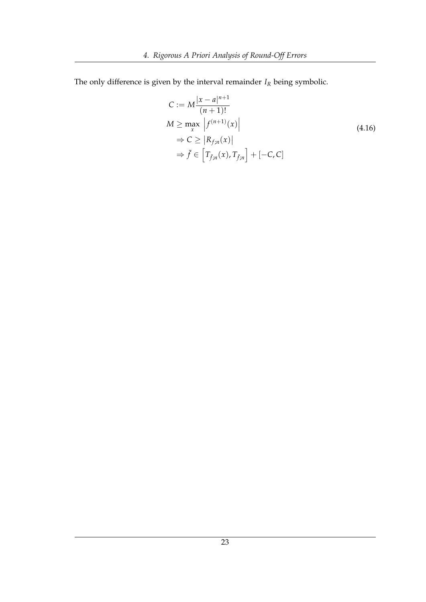The only difference is given by the interval remainder  $I_R$  being symbolic.

<span id="page-28-0"></span>
$$
C := M \frac{|x - a|^{n+1}}{(n+1)!}
$$
  
\n
$$
M \ge \max_{x} |f^{(n+1)}(x)|
$$
  
\n
$$
\Rightarrow C \ge |R_{f;n}(x)|
$$
  
\n
$$
\Rightarrow \tilde{f} \in [T_{\tilde{f};n}(x), T_{\tilde{f};n}] + [-C, C]
$$
\n(4.16)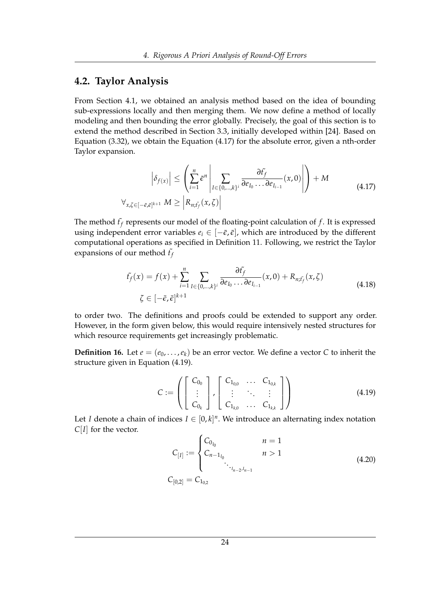### <span id="page-29-0"></span>**4.2. Taylor Analysis**

From Section [4.1,](#page-21-0) we obtained an analysis method based on the idea of bounding sub-expressions locally and then merging them. We now define a method of locally modeling and then bounding the error globally. Precisely, the goal of this section is to extend the method described in Section [3.3,](#page-18-0) initially developed within [\[24\]](#page-61-1). Based on Equation [\(3.32\)](#page-18-3), we obtain the Equation [\(4.17\)](#page-29-1) for the absolute error, given a nth-order Taylor expansion.

<span id="page-29-1"></span>
$$
\left| \delta_{f(x)} \right| \leq \left( \sum_{i=1}^{n} \bar{\epsilon}^{n} \left| \sum_{I \in \{0, \ldots, k\}^i} \frac{\partial f_f}{\partial e_{I_0} \ldots \partial e_{I_{i-1}}}(x, 0) \right| \right) + M
$$
\n
$$
\forall_{x, \zeta \in [-\bar{\epsilon}, \bar{\epsilon}]^{k+1}} M \geq \left| R_{n; \bar{t}_f}(x, \zeta) \right|
$$
\n(4.17)

The method  $\tilde{t}_f$  represents our model of the floating-point calculation of  $f$ . It is expressed using independent error variables  $e_i \in [-\bar{\epsilon}, \bar{\epsilon}]$ , which are introduced by the different computational operations as specified in Definition [11.](#page-20-2) Following, we restrict the Taylor expansions of our method  $\tilde{t}_f$ 

<span id="page-29-3"></span>
$$
f_f(x) = f(x) + \sum_{i=1}^n \sum_{I \in \{0,\dots,k\}^i} \frac{\partial f_f}{\partial e_{I_0} \dots \partial e_{I_{i-1}}} (x,0) + R_{n;f_f}(x,\zeta)
$$
\n
$$
\zeta \in [-\bar{\epsilon}, \bar{\epsilon}]^{k+1}
$$
\n(4.18)

to order two. The definitions and proofs could be extended to support any order. However, in the form given below, this would require intensively nested structures for which resource requirements get increasingly problematic.

<span id="page-29-2"></span>**Definition 16.** Let  $e = (e_0, \ldots, e_k)$  be an error vector. We define a vector C to inherit the structure given in Equation [\(4.19\)](#page-29-2).

$$
C := \left( \begin{bmatrix} C_{0_0} \\ \vdots \\ C_{0_k} \end{bmatrix}, \begin{bmatrix} C_{1_{0,0}} & \dots & C_{1_{0,k}} \\ \vdots & \ddots & \vdots \\ C_{1_{k,0}} & \dots & C_{1_{k,k}} \end{bmatrix} \right)
$$
(4.19)

Let *I* denote a chain of indices  $I \in [0,k]^n$ . We introduce an alternating index notation *C*[*I*] for the vector.

$$
C_{[I]} := \begin{cases} C_{0_{I_0}} & n = 1 \\ C_{n-1_{I_0}} & n > 1 \end{cases} \tag{4.20}
$$
\n
$$
C_{[0,2]} = C_{1_{0,2}}
$$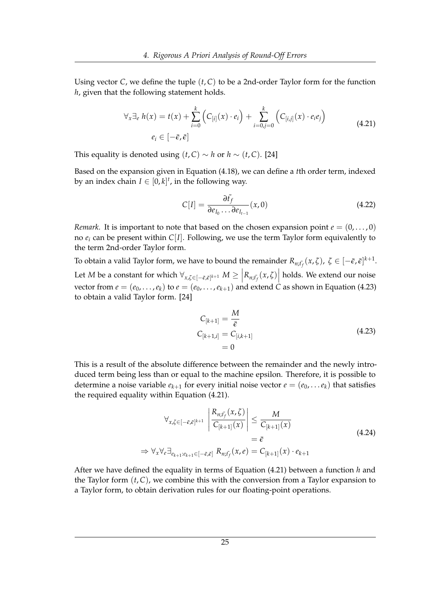Using vector *C*, we define the tuple (*t*, *C*) to be a 2nd-order Taylor form for the function *h*, given that the following statement holds.

<span id="page-30-1"></span>
$$
\forall_x \exists_e h(x) = t(x) + \sum_{i=0}^k \left( C_{[i]}(x) \cdot e_i \right) + \sum_{i=0,j=0}^k \left( C_{[i,j]}(x) \cdot e_i e_j \right)
$$
\n
$$
e_i \in [-\bar{\epsilon}, \bar{\epsilon}]
$$
\n(4.21)

This equality is denoted using  $(t, C) \sim h$  or  $h \sim (t, C)$ . [\[24\]](#page-61-1)

Based on the expansion given in Equation [\(4.18\)](#page-29-3), we can define a *t*th order term, indexed by an index chain  $I \in [0,k]^t$ , in the following way.

$$
C[I] = \frac{\partial f_f}{\partial e_{I_0} \dots \partial e_{I_{t-1}}} (x, 0)
$$
\n(4.22)

*Remark.* It is important to note that based on the chosen expansion point  $e = (0, \ldots, 0)$ no  $e_i$  can be present within  $C[I]$ . Following, we use the term Taylor form equivalently to the term 2nd-order Taylor form.

To obtain a valid Taylor form, we have to bound the remainder  $R_{n;\tilde{f}_f}(x,\zeta)$ ,  $\zeta \in [-\bar{\epsilon},\bar{\epsilon}]^{k+1}$ . Let *M* be a constant for which  $\forall_{x,\zeta \in [-\bar{\epsilon},\bar{\epsilon}]^{k+1}} M \geq \left| R_{n;\tilde{f}_f}(x,\zeta) \right|$  holds. We extend our noise vector from  $e = (e_0, \ldots, e_k)$  to  $e = (e_0, \ldots, e_{k+1})$  and extend *C* as shown in Equation [\(4.23\)](#page-30-0) to obtain a valid Taylor form. [\[24\]](#page-61-1)

<span id="page-30-0"></span>
$$
C_{[k+1]} = \frac{M}{\bar{\epsilon}}
$$
  
\n
$$
C_{[k+1,i]} = C_{[i,k+1]}
$$
  
\n
$$
= 0
$$
\n(4.23)

This is a result of the absolute difference between the remainder and the newly introduced term being less than or equal to the machine epsilon. Therefore, it is possible to determine a noise variable  $e_{k+1}$  for every initial noise vector  $e = (e_0, \ldots e_k)$  that satisfies the required equality within Equation [\(4.21\)](#page-30-1).

$$
\forall_{x,\zeta \in [-\bar{\varepsilon},\bar{\varepsilon}]^{k+1}} \left| \frac{R_{n;\bar{f}_f}(x,\zeta)}{C_{[k+1]}(x)} \right| \leq \frac{M}{C_{[k+1]}(x)}
$$
\n
$$
= \bar{\varepsilon}
$$
\n
$$
\Rightarrow \forall_x \forall_e \exists_{e_{k+1}:e_{k+1} \in [-\bar{\varepsilon},\bar{\varepsilon}]} R_{n;\bar{f}_f}(x,e) = C_{[k+1]}(x) \cdot e_{k+1}
$$
\n(4.24)

After we have defined the equality in terms of Equation [\(4.21\)](#page-30-1) between a function *h* and the Taylor form  $(t, C)$ , we combine this with the conversion from a Taylor expansion to a Taylor form, to obtain derivation rules for our floating-point operations.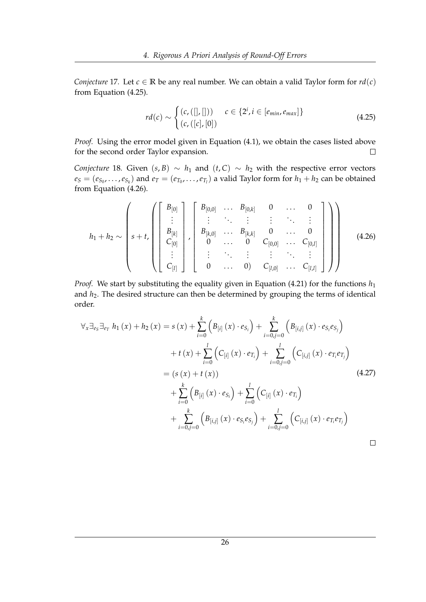*Conjecture* 17*.* Let  $c \in \mathbb{R}$  be any real number. We can obtain a valid Taylor form for  $rd(c)$ from Equation [\(4.25\)](#page-31-0).

<span id="page-31-0"></span>
$$
rd(c) \sim \begin{cases} (c, ([], [])) & c \in \{2^i, i \in [e_{min}, e_{max}]\} \\ (c, ([c], [0]) & \end{cases}
$$
(4.25)

*Proof.* Using the error model given in Equation [\(4.1\)](#page-20-1), we obtain the cases listed above for the second order Taylor expansion.  $\Box$ 

*Conjecture* 18*.* Given  $(s, B) \sim h_1$  and  $(t, C) \sim h_2$  with the respective error vectors  $e_S = (e_{S_0}, \ldots, e_{S_k})$  and  $e_T = (e_{T_0}, \ldots, e_{T_l})$  a valid Taylor form for  $h_1 + h_2$  can be obtained from Equation [\(4.26\)](#page-31-1).

<span id="page-31-1"></span>
$$
h_1 + h_2 \sim \left( s + t, \left( \begin{bmatrix} B_{[0]} \\ \vdots \\ B_{[k]} \\ C_{[0]} \\ \vdots \\ C_{[l]} \end{bmatrix}, \begin{bmatrix} B_{[0,0]} & \cdots & B_{[0,k]} & 0 & \cdots & 0 \\ \vdots & \ddots & \vdots & \vdots & \ddots & \vdots \\ B_{[k,0]} & \cdots & B_{[k,k]} & 0 & \cdots & 0 \\ 0 & \cdots & 0 & C_{[0,0]} & \cdots & C_{[0,l]} \\ \vdots & \vdots & \ddots & \vdots & \vdots & \ddots & \vdots \\ 0 & \cdots & 0 & C_{[l,0]} & \cdots & C_{[l,l]} \end{bmatrix} \right) \right)
$$
(4.26)

*Proof.* We start by substituting the equality given in Equation [\(4.21\)](#page-30-1) for the functions  $h_1$ and *h*2. The desired structure can then be determined by grouping the terms of identical order.

$$
\forall x \exists_{e_{S}} \exists_{e_{T}} h_{1}(x) + h_{2}(x) = s(x) + \sum_{i=0}^{k} \left( B_{[i]}(x) \cdot e_{S_{i}} \right) + \sum_{i=0,j=0}^{k} \left( B_{[i,j]}(x) \cdot e_{S_{i}} e_{S_{j}} \right) \n+ t(x) + \sum_{i=0}^{l} \left( C_{[i]}(x) \cdot e_{T_{i}} \right) + \sum_{i=0,j=0}^{l} \left( C_{[i,j]}(x) \cdot e_{T_{i}} e_{T_{j}} \right) \n= (s(x) + t(x)) \n+ \sum_{i=0}^{k} \left( B_{[i]}(x) \cdot e_{S_{i}} \right) + \sum_{i=0}^{l} \left( C_{[i]}(x) \cdot e_{T_{i}} \right) \n+ \sum_{i=0,j=0}^{k} \left( B_{[i,j]}(x) \cdot e_{S_{i}} e_{S_{j}} \right) + \sum_{i=0,j=0}^{l} \left( C_{[i,j]}(x) \cdot e_{T_{i}} e_{T_{j}} \right)
$$
\n
$$
\Box
$$
\n
$$
\Box
$$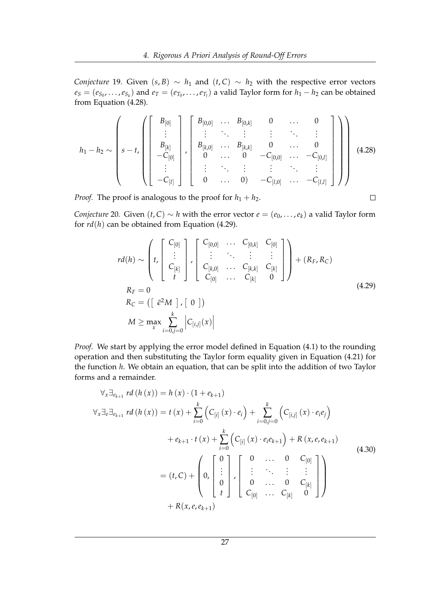*Conjecture* 19*.* Given  $(s, B) \sim h_1$  and  $(t, C) \sim h_2$  with the respective error vectors  $e_S = (e_{S_0}, \ldots, e_{S_k})$  and  $e_T = (e_{T_0}, \ldots, e_{T_l})$  a valid Taylor form for  $h_1 - h_2$  can be obtained from Equation [\(4.28\)](#page-32-0).

<span id="page-32-0"></span>
$$
h_1 - h_2 \sim \left( s - t, \left( \left[ \begin{array}{c} B_{[0]} \\ \vdots \\ B_{[k]} \\ -C_{[0]} \\ \vdots \\ -C_{[l]} \end{array} \right] \right), \left[ \begin{array}{cccc} B_{[0,0]} & \dots & B_{[0,k]} & 0 & \dots & 0 \\ \vdots & \ddots & \vdots & \vdots & \ddots & \vdots \\ B_{[k,0]} & \dots & B_{[k,k]} & 0 & \dots & 0 \\ 0 & \dots & 0 & -C_{[0,0]} & \dots & -C_{[0,l]} \\ \vdots & \vdots & \ddots & \vdots & \vdots & \ddots & \vdots \\ 0 & \dots & 0 & -C_{[l,0]} & \dots & -C_{[l,l]} \end{array} \right) \right)
$$
(4.28)

*Proof.* The proof is analogous to the proof for  $h_1 + h_2$ .

*Conjecture* 20. Given  $(t, C) \sim h$  with the error vector  $e = (e_0, \ldots, e_k)$  a valid Taylor form for *rd*(*h*) can be obtained from Equation [\(4.29\)](#page-32-1).

<span id="page-32-1"></span>
$$
rd(h) \sim \left( t, \begin{bmatrix} C_{[0]} \\ \vdots \\ C_{[k]} \\ t \end{bmatrix}, \begin{bmatrix} C_{[0,0]} & \cdots & C_{[0,k]} & C_{[0]} \\ \vdots & \ddots & \vdots & \vdots \\ C_{[k,0]} & \cdots & C_{[k,k]} & C_{[k]} \\ C_{[0]} & \cdots & C_{[k]} & 0 \end{bmatrix} \right) + (R_F, R_C)
$$
  
\n
$$
R_F = 0
$$
  
\n
$$
R_C = (\begin{bmatrix} \bar{\epsilon}^2 M \end{bmatrix}, [0])
$$
  
\n
$$
M \ge \max_{x} \sum_{i=0, j=0}^{k} |C_{[i,j]}(x)|
$$
\n(4.29)

 $\Box$ 

*Proof.* We start by applying the error model defined in Equation [\(4.1\)](#page-20-1) to the rounding operation and then substituting the Taylor form equality given in Equation [\(4.21\)](#page-30-1) for the function *h*. We obtain an equation, that can be split into the addition of two Taylor forms and a remainder.

$$
\forall_{x} \exists_{e_{k+1}} \, rd\left(h\left(x\right)\right) = h\left(x\right) \cdot \left(1 + e_{k+1}\right) \n\forall_{x} \exists_{e} \exists_{e_{k+1}} \, rd\left(h\left(x\right)\right) = t\left(x\right) + \sum_{i=0}^{k} \left(C_{[i]}\left(x\right) \cdot e_{i}\right) + \sum_{i=0,j=0}^{k} \left(C_{[i,j]}\left(x\right) \cdot e_{i}e_{j}\right) \n+ e_{k+1} \cdot t\left(x\right) + \sum_{i=0}^{k} \left(C_{[i]}\left(x\right) \cdot e_{i}e_{k+1}\right) + R\left(x, e, e_{k+1}\right) \n= (t, C) + \begin{pmatrix} 0 \\ 0 \\ 0 \\ t \end{pmatrix}, \begin{bmatrix} 0 & \dots & 0 & C_{[0]} \\ \vdots & \ddots & \vdots & \vdots \\ 0 & \dots & 0 & C_{[k]} \\ C_{[0]} & \dots & C_{[k]} & 0 \end{bmatrix}
$$
\n
$$
+ R(x, e, e_{k+1})
$$
\n(4.30)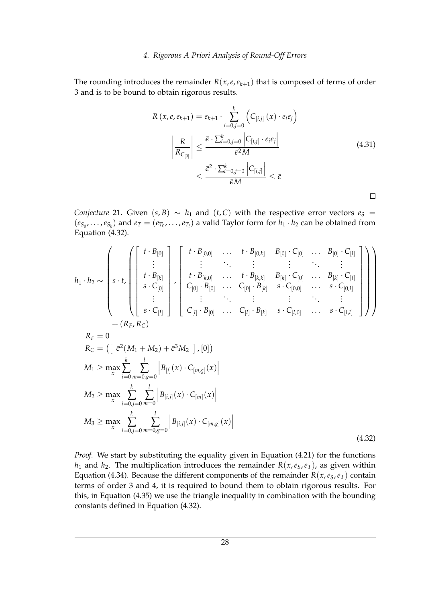The rounding introduces the remainder  $R(x, e, e_{k+1})$  that is composed of terms of order 3 and is to be bound to obtain rigorous results.

$$
R(x, e, e_{k+1}) = e_{k+1} \cdot \sum_{i=0, j=0}^{k} \left( C_{[i,j]}(x) \cdot e_i e_j \right)
$$

$$
\left| \frac{R}{R_{C_{[0]}}} \right| \leq \frac{\bar{\epsilon} \cdot \sum_{i=0, j=0}^{k} |C_{[i,j]} \cdot e_i e_j|}{\bar{\epsilon}^2 M}
$$

$$
\leq \frac{\bar{\epsilon}^2 \cdot \sum_{i=0, j=0}^{k} |C_{[i,j]}|}{\bar{\epsilon} M} \leq \bar{\epsilon}
$$
(4.31)

*Conjecture* 21*.* Given (*s*, *B*) ~ *h*<sub>1</sub> and (*t*, *C*) with the respective error vectors  $e_S$  =  $(e_{S_0},...,e_{S_k})$  and  $e_T=(e_{T_0},...,e_{T_l})$  a valid Taylor form for  $h_1 \cdot h_2$  can be obtained from Equation [\(4.32\)](#page-33-0).

<span id="page-33-0"></span>
$$
h_{1} \cdot h_{2} \sim \left( s \cdot t \cdot \begin{pmatrix} t \cdot B_{[0]} \\ \vdots \\ t \cdot B_{[k]} \\ s \cdot C_{[0]} \end{pmatrix}, \begin{bmatrix} t \cdot B_{[0,0]} & \cdots & t \cdot B_{[0,k]} & B_{[0]} \cdot C_{[0]} & \cdots & B_{[0]} \cdot C_{[l]} \\ \vdots & \vdots & \ddots & \vdots & \vdots & \ddots & \vdots \\ t \cdot B_{[k,0]} & \cdots & t \cdot B_{[k,k]} & B_{[k]} \cdot C_{[0]} & \cdots & B_{[k]} \cdot C_{[l]} \\ \vdots & \vdots & \ddots & \vdots & \ddots & \vdots \\ t \cdot B_{[0]} & \cdots & C_{[0]} \cdot B_{[k]} & s \cdot C_{[0,0]} & \cdots & s \cdot C_{[0,l]} \\ \vdots & \vdots & \ddots & \vdots & \vdots & \ddots & \vdots \\ t \cdot B_{[k]} & \cdots & C_{[l]} \cdot B_{[k]} & s \cdot C_{[0,0]} & \cdots & s \cdot C_{[l,l]} \\ \vdots & \vdots & \ddots & \vdots & \vdots \\ t \cdot R_{F}, R_{C} \end{pmatrix} + (R_{F}, R_{C})
$$
\n
$$
R_{F} = 0
$$
\n
$$
R_{C} = \left( \begin{bmatrix} \bar{\epsilon}^{2}(M_{1} + M_{2}) + \bar{\epsilon}^{3} M_{2} \end{bmatrix}, [0] \right)
$$
\n
$$
M_{1} \ge \max_{x} \sum_{i=0}^{k} \sum_{j=0}^{l} \frac{1}{m=0} |B_{[i,j]}(x) \cdot C_{[m,g]}(x)|
$$
\n
$$
M_{3} \ge \max_{x} \sum_{i=0,j=0}^{k} \sum_{m=0}^{l} \frac{1}{B_{[i,j]}(x) \cdot C_{[m,g]}(x)} |B_{[i,j]}(x) \cdot C_{[m,g]}(x)|
$$
\n
$$
(4.32)
$$

*Proof.* We start by substituting the equality given in Equation [\(4.21\)](#page-30-1) for the functions  $h_1$  and  $h_2$ . The multiplication introduces the remainder  $R(x, e_5, e_T)$ , as given within Equation [\(4.34\)](#page-34-0). Because the different components of the remainder  $R(x, e_S, e_T)$  contain terms of order 3 and 4, it is required to bound them to obtain rigorous results. For this, in Equation [\(4.35\)](#page-35-0) we use the triangle inequality in combination with the bounding constants defined in Equation [\(4.32\)](#page-33-0).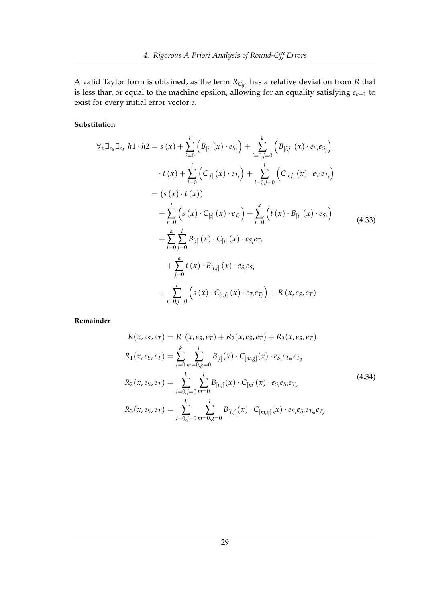A valid Taylor form is obtained, as the term *RC*[0] has a relative deviation from *R* that is less than or equal to the machine epsilon, allowing for an equality satisfying  $e_{k+1}$  to exist for every initial error vector *e*.

#### **Substitution**

$$
\forall_{x} \exists_{e_{S}} \exists_{e_{T}} h1 \cdot h2 = s(x) + \sum_{i=0}^{k} \left( B_{[i]}(x) \cdot e_{S_{i}} \right) + \sum_{i=0, j=0}^{k} \left( B_{[i,j]}(x) \cdot e_{S_{i}} e_{S_{j}} \right)
$$
  

$$
\cdot t(x) + \sum_{i=0}^{l} \left( C_{[i]}(x) \cdot e_{T_{i}} \right) + \sum_{i=0, j=0}^{l} \left( C_{[i,j]}(x) \cdot e_{T_{i}} e_{T_{j}} \right)
$$
  

$$
= (s(x) \cdot t(x))
$$
  

$$
+ \sum_{i=0}^{l} \left( s(x) \cdot C_{[i]}(x) \cdot e_{T_{i}} \right) + \sum_{i=0}^{k} \left( t(x) \cdot B_{[i]}(x) \cdot e_{S_{i}} \right)
$$
  

$$
+ \sum_{i=0}^{k} \sum_{j=0}^{l} B_{[i]}(x) \cdot C_{[j]}(x) \cdot e_{S_{i}} e_{T_{j}}
$$
  

$$
+ \sum_{j=0}^{k} t(x) \cdot B_{[i,j]}(x) \cdot e_{S_{i}} e_{S_{j}}
$$
  

$$
+ \sum_{i=0, j=0}^{l} \left( s(x) \cdot C_{[i,j]}(x) \cdot e_{T_{i}} e_{T_{j}} \right) + R(x, e_{S}, e_{T})
$$
  
(4.33)

<span id="page-34-0"></span>**Remainder**

$$
R(x, e_S, e_T) = R_1(x, e_S, e_T) + R_2(x, e_S, e_T) + R_3(x, e_S, e_T)
$$
  
\n
$$
R_1(x, e_S, e_T) = \sum_{i=0}^k \sum_{m=0, g=0}^l B_{[i]}(x) \cdot C_{[m,g]}(x) \cdot e_{S_i} e_{T_m} e_{T_g}
$$
  
\n
$$
R_2(x, e_S, e_T) = \sum_{i=0, j=0}^k \sum_{m=0}^l B_{[i,j]}(x) \cdot C_{[m]}(x) \cdot e_{S_i} e_{S_j} e_{T_m}
$$
  
\n
$$
R_3(x, e_S, e_T) = \sum_{i=0, j=0}^k \sum_{m=0, g=0}^l B_{[i,j]}(x) \cdot C_{[m,g]}(x) \cdot e_{S_i} e_{S_j} e_{T_m} e_{T_g}
$$
  
\n(4.34)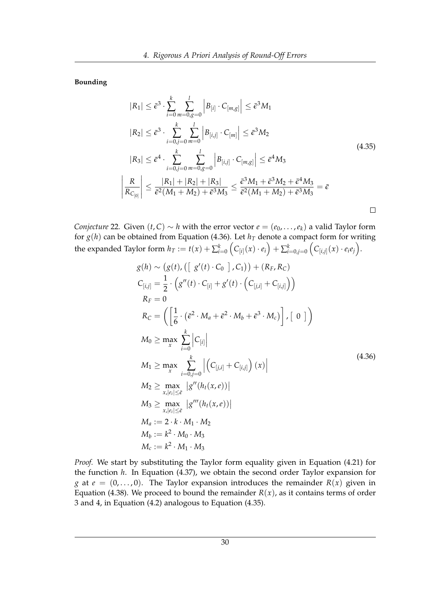<span id="page-35-0"></span>**Bounding**

 $\bigg\}$  $\bigg]$  $\frac{1}{2}$  $\bigg]$  $\vert$ 

$$
|R_{1}| \leq \bar{\epsilon}^{3} \cdot \sum_{i=0}^{k} \sum_{m=0,g=0}^{l} \left| B_{[i]} \cdot C_{[m,g]} \right| \leq \bar{\epsilon}^{3} M_{1}
$$
  
\n
$$
|R_{2}| \leq \bar{\epsilon}^{3} \cdot \sum_{i=0,j=0}^{k} \sum_{m=0}^{l} \left| B_{[i,j]} \cdot C_{[m]} \right| \leq \bar{\epsilon}^{3} M_{2}
$$
  
\n
$$
|R_{3}| \leq \bar{\epsilon}^{4} \cdot \sum_{i=0,j=0}^{k} \sum_{m=0,g=0}^{l} \left| B_{[i,j]} \cdot C_{[m,g]} \right| \leq \bar{\epsilon}^{4} M_{3}
$$
  
\n
$$
\frac{R}{R_{C_{[0]}}} \leq \frac{|R_{1}| + |R_{2}| + |R_{3}|}{\bar{\epsilon}^{2}(M_{1} + M_{2}) + \bar{\epsilon}^{3} M_{3}} \leq \frac{\bar{\epsilon}^{3} M_{1} + \bar{\epsilon}^{3} M_{2} + \bar{\epsilon}^{4} M_{3}}{\bar{\epsilon}^{2}(M_{1} + M_{2}) + \bar{\epsilon}^{3} M_{3}} = \bar{\epsilon}
$$
\n
$$
\Box
$$

<span id="page-35-1"></span>*Conjecture* 22*.* Given  $(t, C) \sim h$  with the error vector  $e = (e_0, \ldots, e_k)$  a valid Taylor form for  $g(h)$  can be obtained from Equation [\(4.36\)](#page-35-1). Let  $h<sub>T</sub>$  denote a compact form for writing the expanded Taylor form  $h_T:=t(x)+\sum_{i=0}^k \left(C_{[i]}(x)\cdot e_i\right)+\sum_{i=0,j=0}^k \left(C_{[i,j]}(x)\cdot e_i e_j\right)$ .

$$
g(h) \sim (g(t), (\lfloor g'(t) \cdot C_0 \rfloor, C_1)) + (R_F, R_C)
$$
  
\n
$$
C_{[i,j]} = \frac{1}{2} \cdot (g''(t) \cdot C_{[i]} + g'(t) \cdot (C_{[j,i]} + C_{[i,j]}))
$$
  
\n
$$
R_F = 0
$$
  
\n
$$
R_C = (\lfloor \frac{1}{6} \cdot (\bar{\epsilon}^2 \cdot M_a + \bar{\epsilon}^2 \cdot M_b + \bar{\epsilon}^3 \cdot M_c) \rfloor, [0])
$$
  
\n
$$
M_0 \ge \max_x \sum_{i=0}^k |C_{[i]}|
$$
  
\n
$$
M_1 \ge \max_x \sum_{i=0,j=0}^k |(C_{[j,i]} + C_{[i,j]})(x)|
$$
  
\n
$$
M_2 \ge \max_{x, |e_i| \le \bar{\epsilon}} |g''(h_t(x, e))|
$$
  
\n
$$
M_3 \ge \max_{x, |e_i| \le \bar{\epsilon}} |g'''(h_t(x, e))|
$$
  
\n
$$
M_a := 2 \cdot k \cdot M_1 \cdot M_2
$$
  
\n
$$
M_b := k^2 \cdot M_0 \cdot M_3
$$
  
\n
$$
M_c := k^2 \cdot M_1 \cdot M_3
$$

*Proof.* We start by substituting the Taylor form equality given in Equation [\(4.21\)](#page-30-1) for the function *h*. In Equation [\(4.37\)](#page-36-0), we obtain the second order Taylor expansion for *g* at  $e = (0, \ldots, 0)$ . The Taylor expansion introduces the remainder  $R(x)$  given in Equation [\(4.38\)](#page-36-1). We proceed to bound the remainder  $R(x)$ , as it contains terms of order 3 and 4, in Equation [\(4.2\)](#page-37-0) analogous to Equation [\(4.35\)](#page-35-0).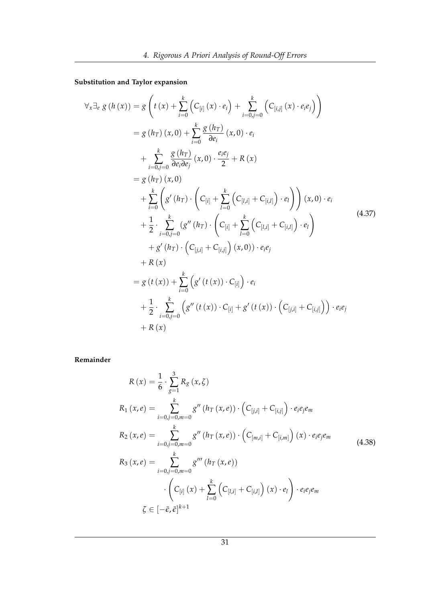<span id="page-36-0"></span>**Substitution and Taylor expansion**

$$
\forall x \exists e \ g(h(x)) = g\left(t(x) + \sum_{i=0}^{k} \left(C_{[i]}(x) \cdot e_{i}\right) + \sum_{i=0, j=0}^{k} \left(C_{[i,j]}(x) \cdot e_{i} e_{j}\right)\right)
$$
  
\n
$$
= g(h_{T})(x, 0) + \sum_{i=0}^{k} \frac{g(h_{T})}{\partial e_{i}}(x, 0) \cdot e_{i}
$$
  
\n
$$
+ \sum_{i=0, j=0}^{k} \frac{g(h_{T})}{\partial e_{i} \partial e_{j}}(x, 0) \cdot \frac{e_{i} e_{j}}{2} + R(x)
$$
  
\n
$$
= g(h_{T})(x, 0)
$$
  
\n
$$
+ \sum_{i=0}^{k} \left(g'(h_{T}) \cdot \left(C_{[i]} + \sum_{l=0}^{k} \left(C_{[l,i]} + C_{[i,l]}\right) \cdot e_{l}\right)\right)(x, 0) \cdot e_{i}
$$
  
\n
$$
+ \frac{1}{2} \cdot \sum_{i=0, j=0}^{k} \left(g''(h_{T}) \cdot \left(C_{[i]} + \sum_{l=0}^{k} \left(C_{[l,i]} + C_{[i,l]}\right) \cdot e_{l}\right)\right)
$$
  
\n
$$
+ g'(h_{T}) \cdot \left(C_{[j,i]} + C_{[i,j]}\right)(x, 0) \cdot e_{i} e_{j}
$$
  
\n
$$
+ R(x)
$$
  
\n
$$
= g(t(x)) + \sum_{i=0}^{k} \left(g'(t(x)) \cdot C_{[i]}\right) \cdot e_{i}
$$
  
\n
$$
+ \frac{1}{2} \cdot \sum_{i=0, j=0}^{k} \left(g''(t(x)) \cdot C_{[i]} + g'(t(x)) \cdot \left(C_{[j,i]} + C_{[i,j]}\right)\right) \cdot e_{i} e_{j}
$$
  
\n
$$
+ R(x)
$$

<span id="page-36-1"></span>**Remainder**

$$
R(x) = \frac{1}{6} \cdot \sum_{g=1}^{3} R_g(x, \zeta)
$$
  
\n
$$
R_1(x, e) = \sum_{i=0, j=0, m=0}^{k} g''(h_T(x, e)) \cdot (C_{[j,i]} + C_{[i,j]}) \cdot e_i e_j e_m
$$
  
\n
$$
R_2(x, e) = \sum_{i=0, j=0, m=0}^{k} g''(h_T(x, e)) \cdot (C_{[m,i]} + C_{[i,m]}) (x) \cdot e_i e_j e_m
$$
  
\n
$$
R_3(x, e) = \sum_{i=0, j=0, m=0}^{k} g'''(h_T(x, e))
$$
  
\n
$$
\cdot (C_{[i]}(x) + \sum_{l=0}^{k} (C_{[l,i]} + C_{[i,l]}) (x) \cdot e_l) \cdot e_i e_j e_m
$$
  
\n
$$
\zeta \in [-\bar{e}, \bar{\epsilon}]^{k+1}
$$
 (4.38)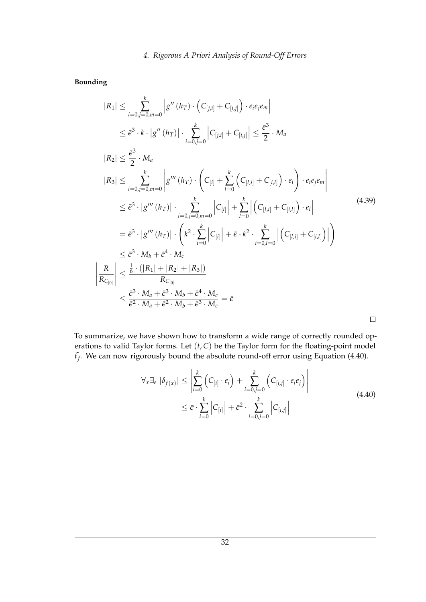<span id="page-37-0"></span>**Bounding**

 $\overline{\phantom{a}}$  $\overline{\phantom{a}}$  $\overline{\phantom{a}}$  $\overline{\phantom{a}}$  $\overline{1}$ 

$$
|R_{1}| \leq \sum_{i=0,j=0,m=0}^{k} |g''(h_{T}) \cdot (C_{[j,i]} + C_{[i,j]}) \cdot e_{i}e_{j}e_{m}|
$$
  
\n
$$
\leq \bar{\epsilon}^{3} \cdot k \cdot |g''(h_{T})| \cdot \sum_{i=0,j=0}^{k} |C_{[j,i]} + C_{[i,j]}| \leq \frac{\bar{\epsilon}^{3}}{2} \cdot M_{a}
$$
  
\n
$$
|R_{2}| \leq \frac{\bar{\epsilon}^{3}}{2} \cdot M_{a}
$$
  
\n
$$
|R_{3}| \leq \sum_{i=0,j=0,m=0}^{k} |g'''(h_{T}) \cdot (C_{[i]} + \sum_{l=0}^{k} (C_{[l,i]} + C_{[i,l]}) \cdot e_{l}) \cdot e_{i}e_{j}e_{m}|
$$
  
\n
$$
\leq \bar{\epsilon}^{3} \cdot |g'''(h_{T})| \cdot \sum_{i=0,j=0,m=0}^{k} |C_{[i]}| + \sum_{l=0}^{k} |(C_{[l,i]} + C_{[i,l]}) \cdot e_{l}|
$$
  
\n
$$
= \bar{\epsilon}^{3} \cdot |g'''(h_{T})| \cdot (k^{2} \cdot \sum_{i=0}^{k} |C_{[i]}| + \bar{\epsilon} \cdot k^{2} \cdot \sum_{i=0,l=0}^{k} |(C_{[l,i]} + C_{[i,l]})|)
$$
  
\n
$$
\leq \bar{\epsilon}^{3} \cdot M_{b} + \bar{\epsilon}^{4} \cdot M_{c}
$$
  
\n
$$
\frac{R}{R_{C_{[0]}}} \leq \frac{\bar{\epsilon}^{3} \cdot (|R_{1}| + |R_{2}| + |R_{3}|)}{R_{C_{[0]}}}
$$
  
\n
$$
\leq \frac{\bar{\epsilon}^{3} \cdot M_{a} + \bar{\epsilon}^{3} \cdot M_{b} + \bar{\epsilon}^{4} \cdot M_{c}}{R_{C_{[0]}}} = \bar{\epsilon}
$$

<span id="page-37-1"></span>To summarize, we have shown how to transform a wide range of correctly rounded operations to valid Taylor forms. Let (*t*, *C*) be the Taylor form for the floating-point model  $\tilde{t}_f$ . We can now rigorously bound the absolute round-off error using Equation [\(4.40\)](#page-37-1).

$$
\forall_{x} \exists_{e} |\delta_{f(x)}| \leq \left| \sum_{i=0}^{k} \left( C_{[i]} \cdot e_{i} \right) + \sum_{i=0,j=0}^{k} \left( C_{[i,j]} \cdot e_{i} e_{j} \right) \right|
$$
\n
$$
\leq \bar{\epsilon} \cdot \sum_{i=0}^{k} \left| C_{[i]} \right| + \bar{\epsilon}^{2} \cdot \sum_{i=0,j=0}^{k} \left| C_{[i,j]} \right|
$$
\n(4.40)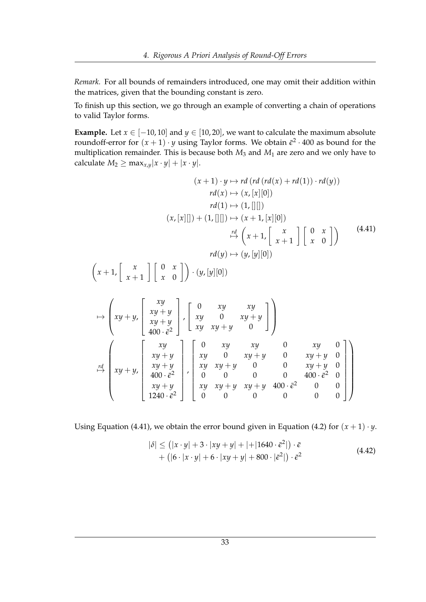*Remark.* For all bounds of remainders introduced, one may omit their addition within the matrices, given that the bounding constant is zero.

To finish up this section, we go through an example of converting a chain of operations to valid Taylor forms.

**Example.** Let  $x \in [-10, 10]$  and  $y \in [10, 20]$ , we want to calculate the maximum absolute roundoff-error for  $(x + 1) \cdot y$  using Taylor forms. We obtain  $\bar{\epsilon}^2 \cdot 400$  as bound for the multiplication remainder. This is because both  $M_3$  and  $M_1$  are zero and we only have to calculate  $M_2 \ge \max_{x,y} |x \cdot y| + |x \cdot y|$ .

<span id="page-38-0"></span>
$$
(x+1) \cdot y \mapsto rd\left(rd\left(rd(x) + rd(1)\right) \cdot rd(y)\right)
$$
  
\n
$$
rd(x) \mapsto (x, [x][0])
$$
  
\n
$$
rd(1) \mapsto (1, [[]])
$$
  
\n
$$
(x, [x][]) + (1, [[]]) \mapsto (x+1, [x][0])
$$
  
\n
$$
\stackrel{rd}{\mapsto} \left(x+1, \left[\begin{array}{cc} x \\ x+1 \end{array}\right] \left[\begin{array}{cc} 0 & x \\ x & 0 \end{array}\right] \right) \qquad (4.41)
$$
  
\n
$$
rd(y) \mapsto (y, [y][0])
$$
  
\n
$$
\left(x+1, \left[\begin{array}{cc} x \\ x+1 \end{array}\right] \left[\begin{array}{cc} 0 & x \\ x & 0 \end{array}\right] \right) \cdot (y, [y][0])
$$

$$
\mapsto \begin{pmatrix} xy \\ xy + y \\ xy + y \\ 400 \cdot \bar{e}^2 \end{pmatrix} \cdot \begin{bmatrix} 0 & xy & xy \\ xy & 0 & xy + y \\ xy & xy + y & 0 \end{bmatrix}
$$
  
\n
$$
\mapsto \begin{pmatrix} xy \\ xy + y \\ xy + y \\ xy + y \\ 400 \cdot \bar{e}^2 \\ 400 \cdot \bar{e}^2 \end{pmatrix} \cdot \begin{bmatrix} 0 & xy & xy & 0 & xy & 0 \\ xy & 0 & xy + y & 0 & xy + y & 0 \\ xy & 0 & xy + y & 0 & xy + y & 0 \\ xy & xy + y & 0 & 0 & xy + y & 0 \\ 0 & 0 & 0 & 0 & 400 \cdot \bar{e}^2 & 0 \\ 1240 \cdot \bar{e}^2 & 0 & 0 & 0 & 0 \end{bmatrix}
$$

<span id="page-38-1"></span>Using Equation [\(4.41\)](#page-38-0), we obtain the error bound given in Equation [\(4.2\)](#page-38-1) for  $(x + 1) \cdot y$ .

$$
|\delta| \le (|x \cdot y| + 3 \cdot |xy + y| + |+|1640 \cdot \bar{\epsilon}^2|) \cdot \bar{\epsilon}
$$
  
+ 
$$
(|6 \cdot |x \cdot y| + 6 \cdot |xy + y| + 800 \cdot |\bar{\epsilon}^2|) \cdot \bar{\epsilon}^2
$$
 (4.42)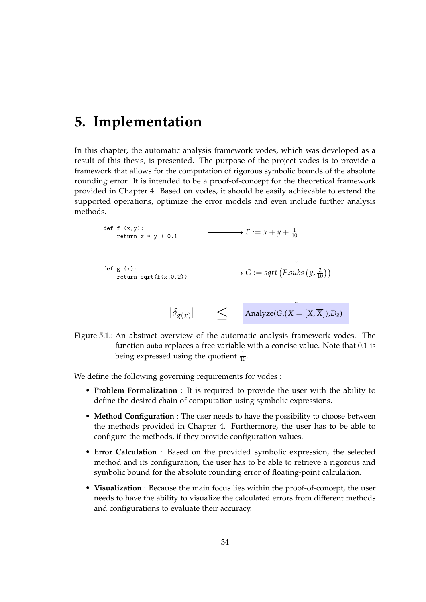## <span id="page-39-0"></span>**5. Implementation**

In this chapter, the automatic analysis framework vodes, which was developed as a result of this thesis, is presented. The purpose of the project vodes is to provide a framework that allows for the computation of rigorous symbolic bounds of the absolute rounding error. It is intended to be a proof-of-concept for the theoretical framework provided in Chapter [4.](#page-20-0) Based on vodes, it should be easily achievable to extend the supported operations, optimize the error models and even include further analysis methods.



Figure 5.1.: An abstract overview of the automatic analysis framework vodes. The function subs replaces a free variable with a concise value. Note that 0.1 is being expressed using the quotient  $\frac{1}{10}$ .

We define the following governing requirements for vodes :

- **Problem Formalization** : It is required to provide the user with the ability to define the desired chain of computation using symbolic expressions.
- **Method Configuration** : The user needs to have the possibility to choose between the methods provided in Chapter [4.](#page-20-0) Furthermore, the user has to be able to configure the methods, if they provide configuration values.
- **Error Calculation** : Based on the provided symbolic expression, the selected method and its configuration, the user has to be able to retrieve a rigorous and symbolic bound for the absolute rounding error of floating-point calculation.
- **Visualization** : Because the main focus lies within the proof-of-concept, the user needs to have the ability to visualize the calculated errors from different methods and configurations to evaluate their accuracy.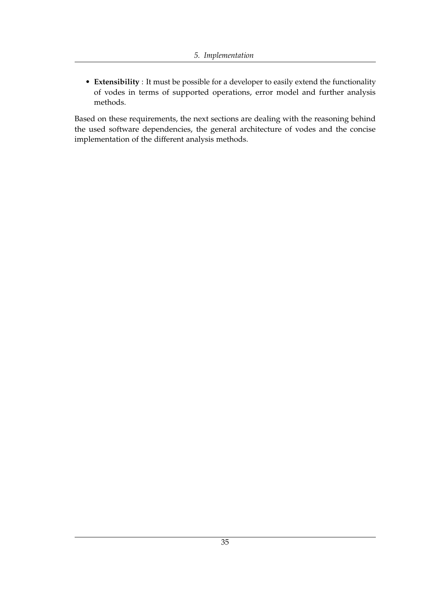• **Extensibility** : It must be possible for a developer to easily extend the functionality of vodes in terms of supported operations, error model and further analysis methods.

Based on these requirements, the next sections are dealing with the reasoning behind the used software dependencies, the general architecture of vodes and the concise implementation of the different analysis methods.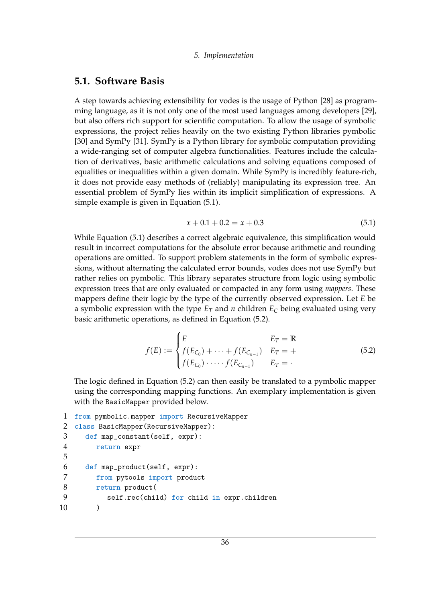#### <span id="page-41-0"></span>**5.1. Software Basis**

A step towards achieving extensibility for vodes is the usage of Python [\[28\]](#page-61-5) as programming language, as it is not only one of the most used languages among developers [\[29\]](#page-61-6), but also offers rich support for scientific computation. To allow the usage of symbolic expressions, the project relies heavily on the two existing Python libraries pymbolic [\[30\]](#page-61-7) and SymPy [\[31\]](#page-61-8). SymPy is a Python library for symbolic computation providing a wide-ranging set of computer algebra functionalities. Features include the calculation of derivatives, basic arithmetic calculations and solving equations composed of equalities or inequalities within a given domain. While SymPy is incredibly feature-rich, it does not provide easy methods of (reliably) manipulating its expression tree. An essential problem of SymPy lies within its implicit simplification of expressions. A simple example is given in Equation [\(5.1\)](#page-41-1).

<span id="page-41-2"></span>
$$
x + 0.1 + 0.2 = x + 0.3\tag{5.1}
$$

<span id="page-41-1"></span>While Equation [\(5.1\)](#page-41-1) describes a correct algebraic equivalence, this simplification would result in incorrect computations for the absolute error because arithmetic and rounding operations are omitted. To support problem statements in the form of symbolic expressions, without alternating the calculated error bounds, vodes does not use SymPy but rather relies on pymbolic. This library separates structure from logic using symbolic expression trees that are only evaluated or compacted in any form using *mappers*. These mappers define their logic by the type of the currently observed expression. Let *E* be a symbolic expression with the type  $E_T$  and *n* children  $E_C$  being evaluated using very basic arithmetic operations, as defined in Equation [\(5.2\)](#page-41-2).

$$
f(E) := \begin{cases} E & E_T = \mathbb{R} \\ f(E_{C_0}) + \dots + f(E_{C_{n-1}}) & E_T = + \\ f(E_{C_0}) \dots + f(E_{C_{n-1}}) & E_T = - \end{cases}
$$
 (5.2)

The logic defined in Equation [\(5.2\)](#page-41-2) can then easily be translated to a pymbolic mapper using the corresponding mapping functions. An exemplary implementation is given with the BasicMapper provided below.

```
1 from pymbolic.mapper import RecursiveMapper
2 class BasicMapper(RecursiveMapper):
3 def map_constant(self, expr):
4 return expr
5
6 def map_product(self, expr):
7 from pytools import product
8 return product(
9 self.rec(child) for child in expr.children
10 )
```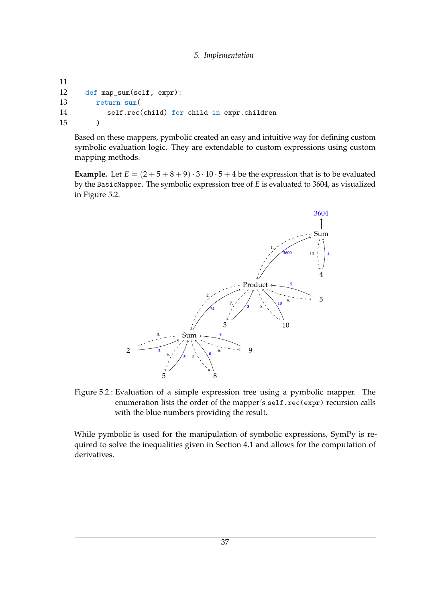```
11
12 def map_sum(self, expr):
13 return sum(
14 self.rec(child) for child in expr.children
15 )
```
Based on these mappers, pymbolic created an easy and intuitive way for defining custom symbolic evaluation logic. They are extendable to custom expressions using custom mapping methods.

<span id="page-42-0"></span>**Example.** Let  $E = (2 + 5 + 8 + 9) \cdot 3 \cdot 10 \cdot 5 + 4$  be the expression that is to be evaluated by the BasicMapper. The symbolic expression tree of *E* is evaluated to 3604, as visualized in Figure [5.2.](#page-42-0)



Figure 5.2.: Evaluation of a simple expression tree using a pymbolic mapper. The enumeration lists the order of the mapper's self.rec(expr) recursion calls with the blue numbers providing the result.

While pymbolic is used for the manipulation of symbolic expressions, SymPy is required to solve the inequalities given in Section [4.1](#page-21-0) and allows for the computation of derivatives.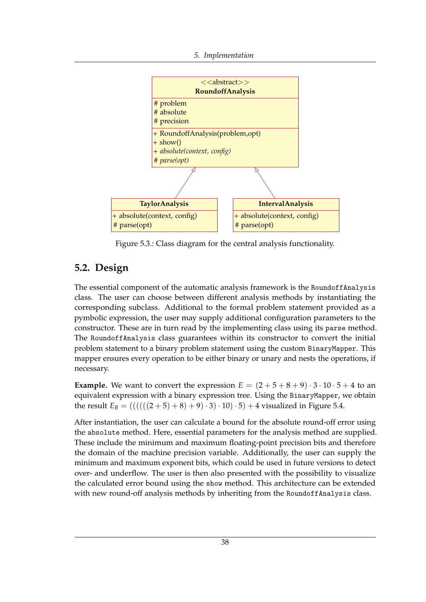

Figure 5.3.: Class diagram for the central analysis functionality.

### <span id="page-43-0"></span>**5.2. Design**

The essential component of the automatic analysis framework is the RoundoffAnalysis class. The user can choose between different analysis methods by instantiating the corresponding subclass. Additional to the formal problem statement provided as a pymbolic expression, the user may supply additional configuration parameters to the constructor. These are in turn read by the implementing class using its parse method. The RoundoffAnalysis class guarantees within its constructor to convert the initial problem statement to a binary problem statement using the custom BinaryMapper. This mapper ensures every operation to be either binary or unary and nests the operations, if necessary.

**Example.** We want to convert the expression  $E = (2+5+8+9) \cdot 3 \cdot 10 \cdot 5 + 4$  to an equivalent expression with a binary expression tree. Using the BinaryMapper, we obtain the result  $E_B = (((((((2+5) + 8) + 9) \cdot 3) \cdot 10) \cdot 5) + 4$  visualized in Figure [5.4.](#page-44-1)

After instantiation, the user can calculate a bound for the absolute round-off error using the absolute method. Here, essential parameters for the analysis method are supplied. These include the minimum and maximum floating-point precision bits and therefore the domain of the machine precision variable. Additionally, the user can supply the minimum and maximum exponent bits, which could be used in future versions to detect over- and underflow. The user is then also presented with the possibility to visualize the calculated error bound using the show method. This architecture can be extended with new round-off analysis methods by inheriting from the Roundoff Analysis class.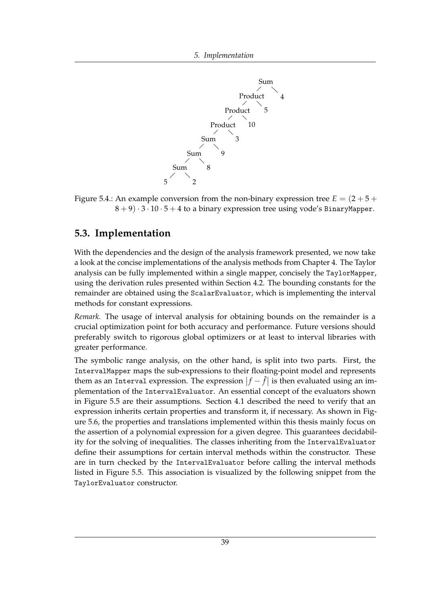<span id="page-44-1"></span>

Figure 5.4.: An example conversion from the non-binary expression tree  $E = (2 + 5 + 1)$  $8 + 9$ .  $3 \cdot 10 \cdot 5 + 4$  to a binary expression tree using vode's BinaryMapper.

### <span id="page-44-0"></span>**5.3. Implementation**

With the dependencies and the design of the analysis framework presented, we now take a look at the concise implementations of the analysis methods from Chapter [4.](#page-20-0) The Taylor analysis can be fully implemented within a single mapper, concisely the TaylorMapper, using the derivation rules presented within Section [4.2.](#page-29-0) The bounding constants for the remainder are obtained using the ScalarEvaluator, which is implementing the interval methods for constant expressions.

*Remark.* The usage of interval analysis for obtaining bounds on the remainder is a crucial optimization point for both accuracy and performance. Future versions should preferably switch to rigorous global optimizers or at least to interval libraries with greater performance.

The symbolic range analysis, on the other hand, is split into two parts. First, the IntervalMapper maps the sub-expressions to their floating-point model and represents them as an Interval expression. The expression  $|f - \tilde{f}|$  is then evaluated using an implementation of the IntervalEvaluator. An essential concept of the evaluators shown in Figure [5.5](#page-45-0) are their assumptions. Section [4.1](#page-21-0) described the need to verify that an expression inherits certain properties and transform it, if necessary. As shown in Figure [5.6,](#page-46-0) the properties and translations implemented within this thesis mainly focus on the assertion of a polynomial expression for a given degree. This guarantees decidability for the solving of inequalities. The classes inheriting from the IntervalEvaluator define their assumptions for certain interval methods within the constructor. These are in turn checked by the IntervalEvaluator before calling the interval methods listed in Figure [5.5.](#page-45-0) This association is visualized by the following snippet from the TaylorEvaluator constructor.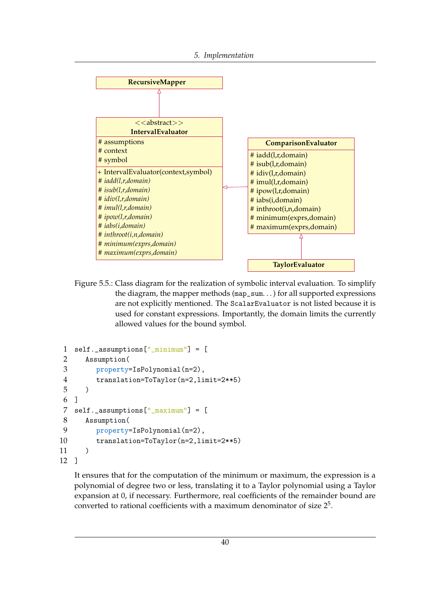<span id="page-45-0"></span>

Figure 5.5.: Class diagram for the realization of symbolic interval evaluation. To simplify the diagram, the mapper methods (map\_sum. . . ) for all supported expressions are not explicitly mentioned. The ScalarEvaluator is not listed because it is used for constant expressions. Importantly, the domain limits the currently allowed values for the bound symbol.

```
1 self._assumptions["_minimum"] = [
2 Assumption(
3 property=IsPolynomial(n=2),
4 translation=ToTaylor(n=2,limit=2**5)
5 )
6 ]
7 self._assumptions["_maximum"] = [
8 Assumption(
9 property=IsPolynomial(n=2),
10 translation=ToTaylor(n=2,limit=2**5)
11 )
12 ]
```
It ensures that for the computation of the minimum or maximum, the expression is a polynomial of degree two or less, translating it to a Taylor polynomial using a Taylor expansion at 0, if necessary. Furthermore, real coefficients of the remainder bound are converted to rational coefficients with a maximum denominator of size  $2^5$ .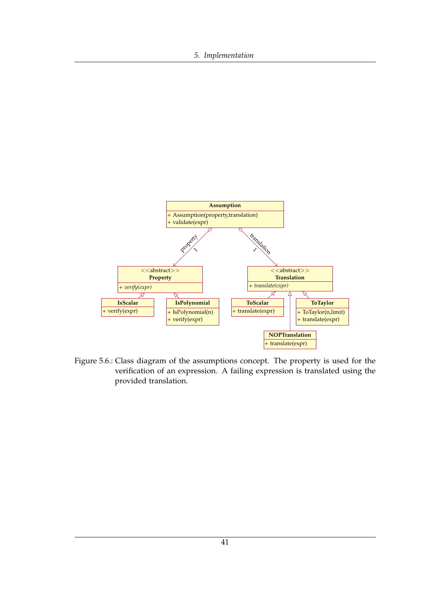#### *5. Implementation*

<span id="page-46-0"></span>

Figure 5.6.: Class diagram of the assumptions concept. The property is used for the verification of an expression. A failing expression is translated using the provided translation.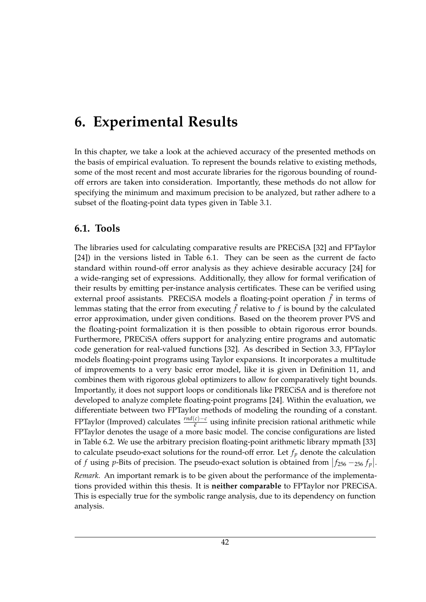## <span id="page-47-0"></span>**6. Experimental Results**

In this chapter, we take a look at the achieved accuracy of the presented methods on the basis of empirical evaluation. To represent the bounds relative to existing methods, some of the most recent and most accurate libraries for the rigorous bounding of roundoff errors are taken into consideration. Importantly, these methods do not allow for specifying the minimum and maximum precision to be analyzed, but rather adhere to a subset of the floating-point data types given in Table [3.1.](#page-11-4)

### <span id="page-47-1"></span>**6.1. Tools**

The libraries used for calculating comparative results are PRECiSA [\[32\]](#page-61-9) and FPTaylor [\[24\]](#page-61-1)) in the versions listed in Table [6.1.](#page-48-0) They can be seen as the current de facto standard within round-off error analysis as they achieve desirable accuracy [\[24\]](#page-61-1) for a wide-ranging set of expressions. Additionally, they allow for formal verification of their results by emitting per-instance analysis certificates. These can be verified using external proof assistants. PRECiSA models a floating-point operation  $\tilde{f}$  in terms of lemmas stating that the error from executing  $\tilde{f}$  relative to  $f$  is bound by the calculated error approximation, under given conditions. Based on the theorem prover PVS and the floating-point formalization it is then possible to obtain rigorous error bounds. Furthermore, PRECiSA offers support for analyzing entire programs and automatic code generation for real-valued functions [\[32\]](#page-61-9). As described in Section [3.3,](#page-18-0) FPTaylor models floating-point programs using Taylor expansions. It incorporates a multitude of improvements to a very basic error model, like it is given in Definition [11,](#page-20-2) and combines them with rigorous global optimizers to allow for comparatively tight bounds. Importantly, it does not support loops or conditionals like PRECiSA and is therefore not developed to analyze complete floating-point programs [\[24\]](#page-61-1). Within the evaluation, we differentiate between two FPTaylor methods of modeling the rounding of a constant. FPTaylor (Improved) calculates  $\frac{rnd(c) - c}{\bar{e}}$  using infinite precision rational arithmetic while FPTaylor denotes the usage of a more basic model. The concise configurations are listed in Table [6.2.](#page-48-1) We use the arbitrary precision floating-point arithmetic library mpmath [\[33\]](#page-61-10) to calculate pseudo-exact solutions for the round-off error. Let *f<sup>p</sup>* denote the calculation of *f* using *p*-Bits of precision. The pseudo-exact solution is obtained from  $|f_{256} - 256 f_p|$ . *Remark.* An important remark is to be given about the performance of the implementa-

tions provided within this thesis. It is **neither comparable** to FPTaylor nor PRECiSA. This is especially true for the symbolic range analysis, due to its dependency on function analysis.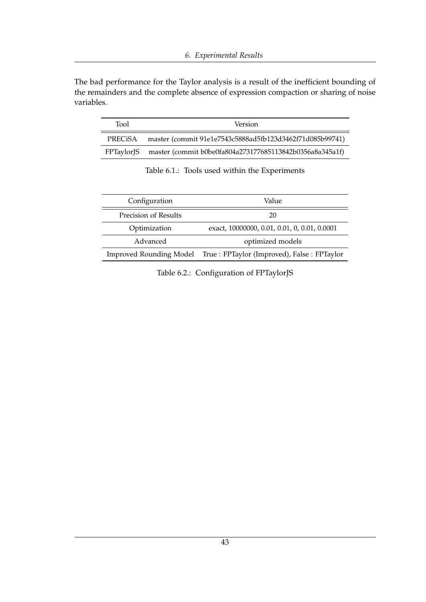The bad performance for the Taylor analysis is a result of the inefficient bounding of the remainders and the complete absence of expression compaction or sharing of noise variables.

<span id="page-48-0"></span>

| Tool              | <b>Version</b>                                           |
|-------------------|----------------------------------------------------------|
| PRECiSA           | master (commit 91e1e7543c5888ad5fb123d3462f71d085b99741) |
| <b>FPTaylorJS</b> | master (commit b0be0fa804a273177685113842b0356a8a345a1f) |

Table 6.1.: Tools used within the Experiments

<span id="page-48-1"></span>

| Configuration        | Value                                                                |  |
|----------------------|----------------------------------------------------------------------|--|
| Precision of Results | 20                                                                   |  |
| Optimization         | exact, 10000000, 0.01, 0.01, 0, 0.01, 0.0001                         |  |
| Advanced             | optimized models                                                     |  |
|                      | Improved Rounding Model True : FPTaylor (Improved), False : FPTaylor |  |

Table 6.2.: Configuration of FPTaylorJS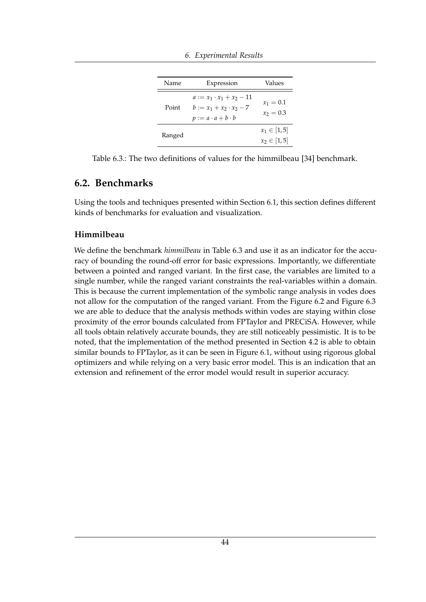<span id="page-49-1"></span>

| Name   | Expression                                                                                        | Values                               |  |
|--------|---------------------------------------------------------------------------------------------------|--------------------------------------|--|
| Point  | $a := x_1 \cdot x_1 + x_2 - 11$<br>$b := x_1 + x_2 \cdot x_2 - 7$<br>$p := a \cdot a + b \cdot b$ | $x_1 = 0.1$<br>$x_2 = 0.3$           |  |
| Ranged |                                                                                                   | $x_1 \in [1, 5]$<br>$x_2 \in [1, 5]$ |  |

*6. Experimental Results*

Table 6.3.: The two definitions of values for the himmilbeau [\[34\]](#page-61-11) benchmark.

#### <span id="page-49-0"></span>**6.2. Benchmarks**

Using the tools and techniques presented within Section [6.1,](#page-47-1) this section defines different kinds of benchmarks for evaluation and visualization.

#### **Himmilbeau**

We define the benchmark *himmilbeau* in Table [6.3](#page-49-1) and use it as an indicator for the accuracy of bounding the round-off error for basic expressions. Importantly, we differentiate between a pointed and ranged variant. In the first case, the variables are limited to a single number, while the ranged variant constraints the real-variables within a domain. This is because the current implementation of the symbolic range analysis in vodes does not allow for the computation of the ranged variant. From the Figure [6.2](#page-50-0) and Figure [6.3](#page-51-0) we are able to deduce that the analysis methods within vodes are staying within close proximity of the error bounds calculated from FPTaylor and PRECiSA. However, while all tools obtain relatively accurate bounds, they are still noticeably pessimistic. It is to be noted, that the implementation of the method presented in Section [4.2](#page-29-0) is able to obtain similar bounds to FPTaylor, as it can be seen in Figure [6.1,](#page-50-1) without using rigorous global optimizers and while relying on a very basic error model. This is an indication that an extension and refinement of the error model would result in superior accuracy.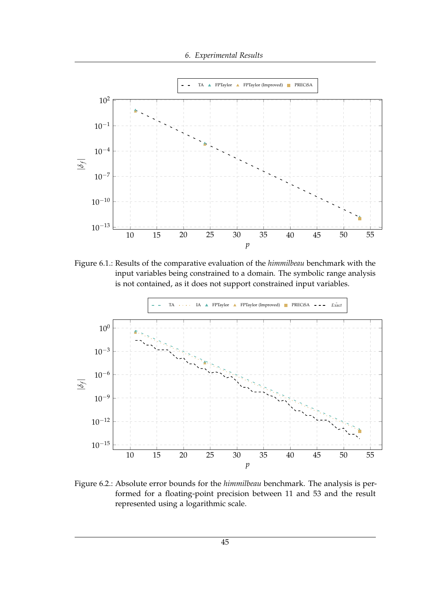

<span id="page-50-1"></span>

Figure 6.1.: Results of the comparative evaluation of the *himmilbeau* benchmark with the input variables being constrained to a domain. The symbolic range analysis is not contained, as it does not support constrained input variables.

<span id="page-50-0"></span>

Figure 6.2.: Absolute error bounds for the *himmilbeau* benchmark. The analysis is performed for a floating-point precision between 11 and 53 and the result represented using a logarithmic scale.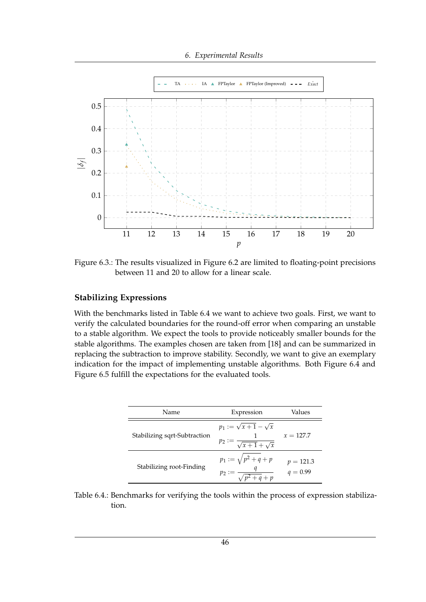*6. Experimental Results*

<span id="page-51-0"></span>

Figure 6.3.: The results visualized in Figure [6.2](#page-50-0) are limited to floating-point precisions between 11 and 20 to allow for a linear scale.

#### **Stabilizing Expressions**

With the benchmarks listed in Table [6.4](#page-51-1) we want to achieve two goals. First, we want to verify the calculated boundaries for the round-off error when comparing an unstable to a stable algorithm. We expect the tools to provide noticeably smaller bounds for the stable algorithms. The examples chosen are taken from [\[18\]](#page-60-8) and can be summarized in replacing the subtraction to improve stability. Secondly, we want to give an exemplary indication for the impact of implementing unstable algorithms. Both Figure [6.4](#page-52-0) and Figure [6.5](#page-53-0) fulfill the expectations for the evaluated tools.

<span id="page-51-1"></span>

| Name                         | Expression                                                                 | Values                    |
|------------------------------|----------------------------------------------------------------------------|---------------------------|
| Stabilizing sqrt-Subtraction | $p_1 := \sqrt{x+1} - \sqrt{x}$<br>$p_2 := \frac{1}{\sqrt{x+1} + \sqrt{x}}$ | $x = 127.7$               |
| Stabilizing root-Finding     | $p_1 := \sqrt{p^2 + q + p}$<br>$\sqrt{n^2+q}+p$                            | $p = 121.3$<br>$q = 0.99$ |

Table 6.4.: Benchmarks for verifying the tools within the process of expression stabilization.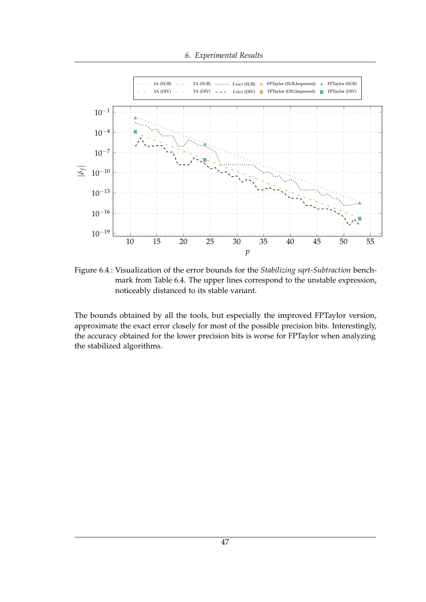#### *6. Experimental Results*

<span id="page-52-0"></span>

Figure 6.4.: Visualization of the error bounds for the *Stabilizing sqrt-Subtraction* benchmark from Table [6.4.](#page-51-1) The upper lines correspond to the unstable expression, noticeably distanced to its stable variant.

The bounds obtained by all the tools, but especially the improved FPTaylor version, approximate the exact error closely for most of the possible precision bits. Interestingly, the accuracy obtained for the lower precision bits is worse for FPTaylor when analyzing the stabilized algorithms.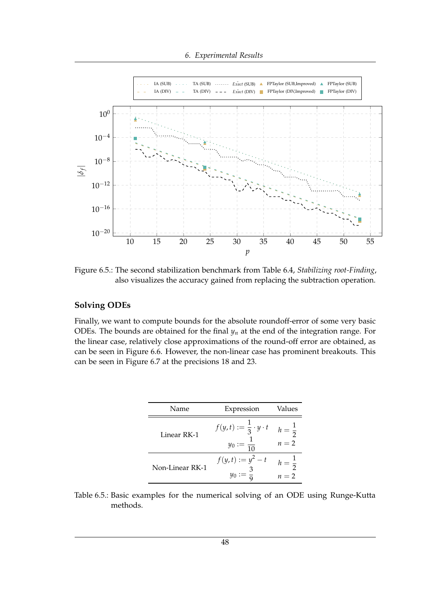*6. Experimental Results*

<span id="page-53-0"></span>

Figure 6.5.: The second stabilization benchmark from Table [6.4,](#page-51-1) *Stabilizing root-Finding*, also visualizes the accuracy gained from replacing the subtraction operation.

#### **Solving ODEs**

Finally, we want to compute bounds for the absolute roundoff-error of some very basic ODEs. The bounds are obtained for the final  $y_n$  at the end of the integration range. For the linear case, relatively close approximations of the round-off error are obtained, as can be seen in Figure [6.6.](#page-54-0) However, the non-linear case has prominent breakouts. This can be seen in Figure [6.7](#page-54-1) at the precisions 18 and 23.

| Name            | Expression                                                       | Values                     |
|-----------------|------------------------------------------------------------------|----------------------------|
| Linear RK-1     | $f(y,t) := \frac{1}{3} \cdot y \cdot t$<br>$y_0 := \frac{1}{10}$ | $h = \frac{1}{2}$<br>$n=2$ |
| Non-Linear RK-1 | $f(y,t) := y^2 - t$                                              | $n=2$                      |

Table 6.5.: Basic examples for the numerical solving of an ODE using Runge-Kutta methods.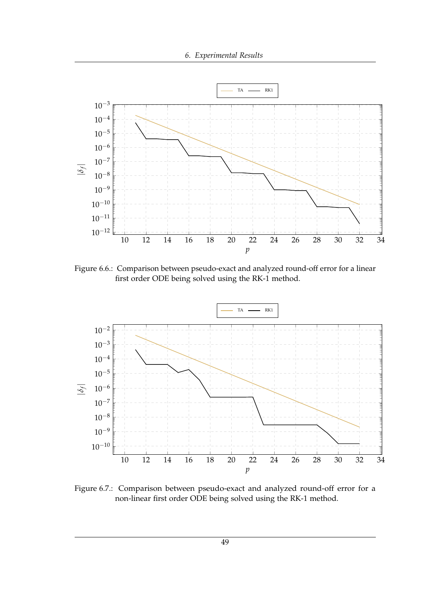*6. Experimental Results*

<span id="page-54-0"></span>

Figure 6.6.: Comparison between pseudo-exact and analyzed round-off error for a linear first order ODE being solved using the RK-1 method.

<span id="page-54-1"></span>

Figure 6.7.: Comparison between pseudo-exact and analyzed round-off error for a non-linear first order ODE being solved using the RK-1 method.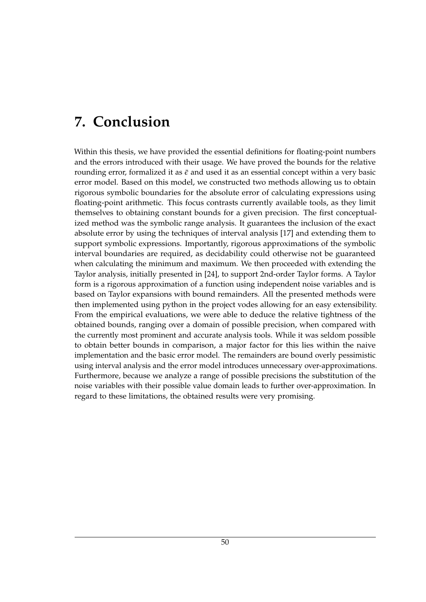# <span id="page-55-0"></span>**7. Conclusion**

Within this thesis, we have provided the essential definitions for floating-point numbers and the errors introduced with their usage. We have proved the bounds for the relative rounding error, formalized it as  $\bar{\epsilon}$  and used it as an essential concept within a very basic error model. Based on this model, we constructed two methods allowing us to obtain rigorous symbolic boundaries for the absolute error of calculating expressions using floating-point arithmetic. This focus contrasts currently available tools, as they limit themselves to obtaining constant bounds for a given precision. The first conceptualized method was the symbolic range analysis. It guarantees the inclusion of the exact absolute error by using the techniques of interval analysis [\[17\]](#page-60-7) and extending them to support symbolic expressions. Importantly, rigorous approximations of the symbolic interval boundaries are required, as decidability could otherwise not be guaranteed when calculating the minimum and maximum. We then proceeded with extending the Taylor analysis, initially presented in [\[24\]](#page-61-1), to support 2nd-order Taylor forms. A Taylor form is a rigorous approximation of a function using independent noise variables and is based on Taylor expansions with bound remainders. All the presented methods were then implemented using python in the project vodes allowing for an easy extensibility. From the empirical evaluations, we were able to deduce the relative tightness of the obtained bounds, ranging over a domain of possible precision, when compared with the currently most prominent and accurate analysis tools. While it was seldom possible to obtain better bounds in comparison, a major factor for this lies within the naive implementation and the basic error model. The remainders are bound overly pessimistic using interval analysis and the error model introduces unnecessary over-approximations. Furthermore, because we analyze a range of possible precisions the substitution of the noise variables with their possible value domain leads to further over-approximation. In regard to these limitations, the obtained results were very promising.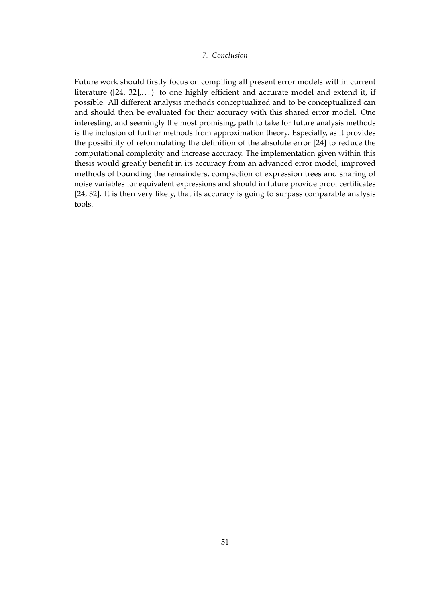Future work should firstly focus on compiling all present error models within current literature ([\[24,](#page-61-1) [32\]](#page-61-9),...) to one highly efficient and accurate model and extend it, if possible. All different analysis methods conceptualized and to be conceptualized can and should then be evaluated for their accuracy with this shared error model. One interesting, and seemingly the most promising, path to take for future analysis methods is the inclusion of further methods from approximation theory. Especially, as it provides the possibility of reformulating the definition of the absolute error [\[24\]](#page-61-1) to reduce the computational complexity and increase accuracy. The implementation given within this thesis would greatly benefit in its accuracy from an advanced error model, improved methods of bounding the remainders, compaction of expression trees and sharing of noise variables for equivalent expressions and should in future provide proof certificates [\[24,](#page-61-1) [32\]](#page-61-9). It is then very likely, that its accuracy is going to surpass comparable analysis tools.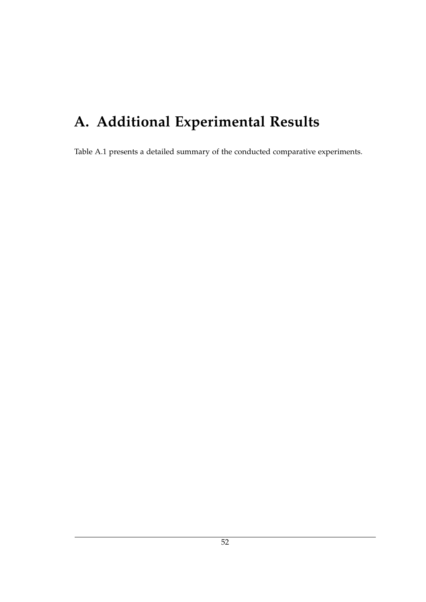# <span id="page-57-0"></span>**A. Additional Experimental Results**

Table [A.1](#page-58-0) presents a detailed summary of the conducted comparative experiments.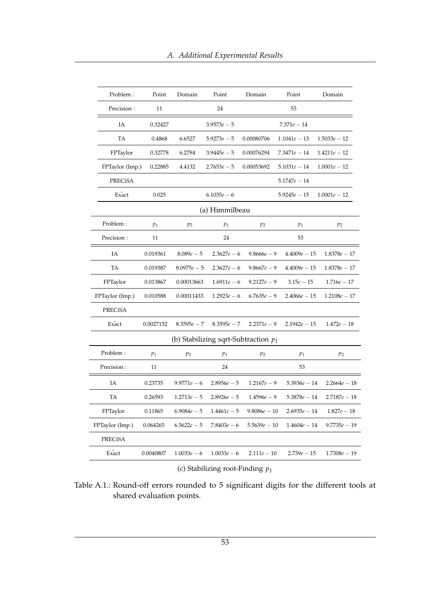<span id="page-58-0"></span>

| Problem:        | Point     | Domain         | Point          | Domain                                 | Point          | Domain         |  |
|-----------------|-----------|----------------|----------------|----------------------------------------|----------------|----------------|--|
| Precision:      | 11        |                | 24             |                                        | 53             |                |  |
| IA              | 0.32427   |                | $3.9573e - 5$  |                                        | $7.371e - 14$  |                |  |
| TA              | 0.4868    | 6.6527         | $5.9273e - 5$  | 0.00080706                             | $1.1041e - 13$ | $1.5033e - 12$ |  |
| FPTaylor        | 0.32778   | 6.2794         | $3.9445e - 5$  | 0.00076294                             | $7.3471e - 14$ | $1.4211e - 12$ |  |
| FPTaylor (Imp.) | 0.22885   | 4.4132         | $2.7653e - 5$  | 0.00053692                             | $5.1031e - 14$ | $1.0001e - 12$ |  |
| <b>PRECISA</b>  |           |                |                |                                        | $5.1747e - 14$ |                |  |
| Exact           | 0.025     |                | $6.1035e - 6$  |                                        | $5.9245e - 15$ | $1.0001e - 12$ |  |
|                 |           |                | (a) Himmilbeau |                                        |                |                |  |
| Problem:        | $p_1$     | p <sub>2</sub> | $p_1$          | $p_2$                                  | $p_1$          | $p_2$          |  |
| Precision:      | 11        |                | 24             |                                        | 53             |                |  |
| IA              | 0.019361  | $8.089e - 5$   | $2.3627e - 6$  | $9.8666e - 9$                          | $4.4009e - 15$ | $1.8378e - 17$ |  |
| TA              | 0.019387  | $8.0975e - 5$  | $2.3627e - 6$  | $9.8667e - 9$                          | $4.4009e - 15$ | $1.8378e - 17$ |  |
| FPTaylor        | 0.013867  | 0.00013663     | $1.6911e - 6$  | $9.2127e - 9$                          | $3.15e - 15$   | $1.716e - 17$  |  |
| FPTaylor (Imp.) | 0.010588  | 0.00011433     | $1.2923e - 6$  | $6.7635e - 9$                          | $2.4066e - 15$ | $1.2108e - 17$ |  |
| PRECiSA         |           |                |                |                                        |                |                |  |
| Exact           | 0.0027152 | $8.3595e - 7$  | $8.3595e - 7$  | $2.2371e - 9$                          | $2.1942e - 15$ | $1.472e - 18$  |  |
|                 |           |                |                | (b) Stabilizing sqrt-Subtraction $p_1$ |                |                |  |
| Problem:        | $p_1$     | $p_2$          | $p_1$          | $p_2$                                  | $p_1$          | $p_2$          |  |
| Precision:      | 11        |                | 24             |                                        | 53             |                |  |
| IA              | 0.23735   | $9.9771e - 6$  | $2.8956e - 5$  | $1.2167e - 9$                          | $5.3936e - 14$ | $2.2664e - 18$ |  |
| TA              | 0.26593   | $1.2713e - 5$  | $2.8926e - 5$  | $1.4596e - 9$                          | $5.3878e - 14$ | $2.7187e - 18$ |  |
| FPTaylor        | 0.11865   | $6.9084e - 5$  | $1.4461e - 5$  | $9.8086e - 10$                         | $2.6935e - 14$ | $1.827e - 18$  |  |
| FPTaylor (Imp.) | 0.064265  | $6.5622e - 5$  | $7.8403e - 6$  | $5.5639e - 10$                         | $1.4604e - 14$ | $9.7735e - 19$ |  |
| PRECISA         |           |                |                |                                        |                |                |  |
| Exact           | 0.0040807 | $1.0033e - 6$  | $1.0033e - 6$  | $2.111e - 10$                          | $2.739e - 15$  | $1.7308e - 19$ |  |
|                 |           |                |                |                                        |                |                |  |

### (c) Stabilizing root-Finding *p*<sup>1</sup>

Table A.1.: Round-off errors rounded to 5 significant digits for the different tools at shared evaluation points.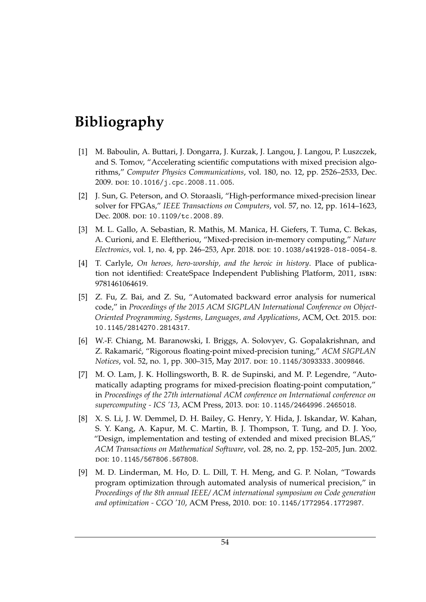# <span id="page-59-0"></span>**Bibliography**

- <span id="page-59-1"></span>[1] M. Baboulin, A. Buttari, J. Dongarra, J. Kurzak, J. Langou, J. Langou, P. Luszczek, and S. Tomov, "Accelerating scientific computations with mixed precision algorithms," *Computer Physics Communications*, vol. 180, no. 12, pp. 2526–2533, Dec. 2009. doi: [10.1016/j.cpc.2008.11.005](https://doi.org/10.1016/j.cpc.2008.11.005).
- <span id="page-59-2"></span>[2] J. Sun, G. Peterson, and O. Storaasli, "High-performance mixed-precision linear solver for FPGAs," *IEEE Transactions on Computers*, vol. 57, no. 12, pp. 1614–1623, Dec. 2008. doi: [10.1109/tc.2008.89](https://doi.org/10.1109/tc.2008.89).
- <span id="page-59-3"></span>[3] M. L. Gallo, A. Sebastian, R. Mathis, M. Manica, H. Giefers, T. Tuma, C. Bekas, A. Curioni, and E. Eleftheriou, "Mixed-precision in-memory computing," *Nature Electronics*, vol. 1, no. 4, pp. 246–253, Apr. 2018. poi: [10.1038/s41928-018-0054-8](https://doi.org/10.1038/s41928-018-0054-8).
- <span id="page-59-4"></span>[4] T. Carlyle, *On heroes, hero-worship, and the heroic in history*. Place of publication not identified: CreateSpace Independent Publishing Platform, 2011, isbn: 9781461064619.
- <span id="page-59-5"></span>[5] Z. Fu, Z. Bai, and Z. Su, "Automated backward error analysis for numerical code," in *Proceedings of the 2015 ACM SIGPLAN International Conference on Object-Oriented Programming, Systems, Languages, and Applications*, ACM, Oct. 2015. doi: [10.1145/2814270.2814317](https://doi.org/10.1145/2814270.2814317).
- <span id="page-59-6"></span>[6] W.-F. Chiang, M. Baranowski, I. Briggs, A. Solovyev, G. Gopalakrishnan, and Z. Rakamari´c, "Rigorous floating-point mixed-precision tuning," *ACM SIGPLAN Notices, vol. 52, no. 1, pp. 300-315, May 2017. poi: [10.1145/3093333.3009846](https://doi.org/10.1145/3093333.3009846).*
- <span id="page-59-7"></span>[7] M. O. Lam, J. K. Hollingsworth, B. R. de Supinski, and M. P. Legendre, "Automatically adapting programs for mixed-precision floating-point computation," in *Proceedings of the 27th international ACM conference on International conference on* supercomputing - ICS '13, ACM Press, 2013. DOI: [10.1145/2464996.2465018](https://doi.org/10.1145/2464996.2465018).
- <span id="page-59-8"></span>[8] X. S. Li, J. W. Demmel, D. H. Bailey, G. Henry, Y. Hida, J. Iskandar, W. Kahan, S. Y. Kang, A. Kapur, M. C. Martin, B. J. Thompson, T. Tung, and D. J. Yoo, "Design, implementation and testing of extended and mixed precision BLAS," *ACM Transactions on Mathematical Software*, vol. 28, no. 2, pp. 152–205, Jun. 2002. doi: [10.1145/567806.567808](https://doi.org/10.1145/567806.567808).
- <span id="page-59-9"></span>[9] M. D. Linderman, M. Ho, D. L. Dill, T. H. Meng, and G. P. Nolan, "Towards program optimization through automated analysis of numerical precision," in *Proceedings of the 8th annual IEEE/ ACM international symposium on Code generation* and optimization - CGO '10, ACM Press, 2010. DOI: [10.1145/1772954.1772987](https://doi.org/10.1145/1772954.1772987).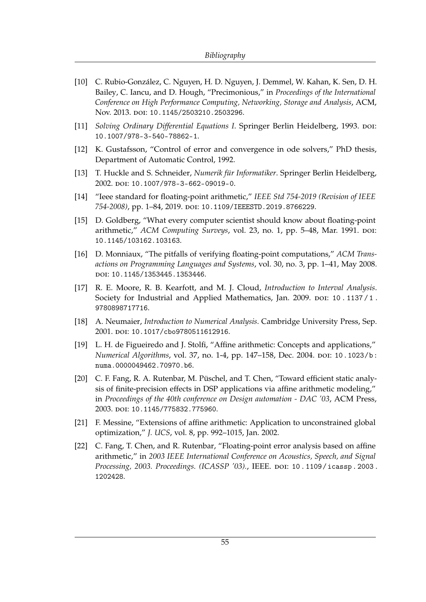- <span id="page-60-0"></span>[10] C. Rubio-González, C. Nguyen, H. D. Nguyen, J. Demmel, W. Kahan, K. Sen, D. H. Bailey, C. Iancu, and D. Hough, "Precimonious," in *Proceedings of the International Conference on High Performance Computing, Networking, Storage and Analysis*, ACM, Nov. 2013. doi: [10.1145/2503210.2503296](https://doi.org/10.1145/2503210.2503296).
- <span id="page-60-1"></span>[11] *Solving Ordinary Differential Equations I*. Springer Berlin Heidelberg, 1993. DOI: [10.1007/978-3-540-78862-1](https://doi.org/10.1007/978-3-540-78862-1).
- <span id="page-60-2"></span>[12] K. Gustafsson, "Control of error and convergence in ode solvers," PhD thesis, Department of Automatic Control, 1992.
- <span id="page-60-3"></span>[13] T. Huckle and S. Schneider, *Numerik für Informatiker*. Springer Berlin Heidelberg, 2002. doi: [10.1007/978-3-662-09019-0](https://doi.org/10.1007/978-3-662-09019-0).
- <span id="page-60-4"></span>[14] "Ieee standard for floating-point arithmetic," *IEEE Std 754-2019 (Revision of IEEE 754-2008)*, pp. 1–84, 2019. doi: [10.1109/IEEESTD.2019.8766229](https://doi.org/10.1109/IEEESTD.2019.8766229).
- <span id="page-60-5"></span>[15] D. Goldberg, "What every computer scientist should know about floating-point arithmetic," ACM Computing Surveys, vol. 23, no. 1, pp. 5–48, Mar. 1991. poi: [10.1145/103162.103163](https://doi.org/10.1145/103162.103163).
- <span id="page-60-6"></span>[16] D. Monniaux, "The pitfalls of verifying floating-point computations," *ACM Transactions on Programming Languages and Systems*, vol. 30, no. 3, pp. 1–41, May 2008. doi: [10.1145/1353445.1353446](https://doi.org/10.1145/1353445.1353446).
- <span id="page-60-7"></span>[17] R. E. Moore, R. B. Kearfott, and M. J. Cloud, *Introduction to Interval Analysis*. Society for Industrial and Applied Mathematics, Jan. 2009. poi: 10.1137/1. [9780898717716](https://doi.org/10.1137/1.9780898717716).
- <span id="page-60-8"></span>[18] A. Neumaier, *Introduction to Numerical Analysis*. Cambridge University Press, Sep. 2001. doi: [10.1017/cbo9780511612916](https://doi.org/10.1017/cbo9780511612916).
- <span id="page-60-9"></span>[19] L. H. de Figueiredo and J. Stolfi, "Affine arithmetic: Concepts and applications," *Numerical Algorithms, vol. 37, no. 1-4, pp. 147-158, Dec. 2004. poi: [10.1023/b:](https://doi.org/10.1023/b:numa.0000049462.70970.b6)* [numa.0000049462.70970.b6](https://doi.org/10.1023/b:numa.0000049462.70970.b6).
- <span id="page-60-10"></span>[20] C. F. Fang, R. A. Rutenbar, M. Püschel, and T. Chen, "Toward efficient static analysis of finite-precision effects in DSP applications via affine arithmetic modeling," in *Proceedings of the 40th conference on Design automation - DAC '03*, ACM Press, 2003. doi: [10.1145/775832.775960](https://doi.org/10.1145/775832.775960).
- <span id="page-60-11"></span>[21] F. Messine, "Extensions of affine arithmetic: Application to unconstrained global optimization," *J. UCS*, vol. 8, pp. 992–1015, Jan. 2002.
- <span id="page-60-12"></span>[22] C. Fang, T. Chen, and R. Rutenbar, "Floating-point error analysis based on affine arithmetic," in *2003 IEEE International Conference on Acoustics, Speech, and Signal Processing, 2003. Proceedings. (ICASSP '03).*, IEEE. doi: [10 . 1109 / icassp . 2003 .](https://doi.org/10.1109/icassp.2003.1202428) [1202428](https://doi.org/10.1109/icassp.2003.1202428).